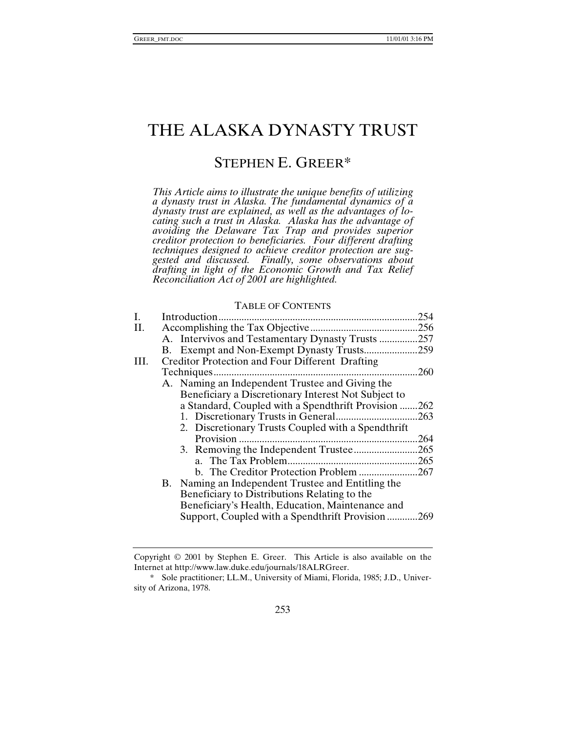# THE ALASKA DYNASTY TRUST

# STEPHEN E. GREER\*

*This Article aims to illustrate the unique benefits of utilizing a dynasty trust in Alaska. The fundamental dynamics of a dynasty trust are explained, as well as the advantages of locating such a trust in Alaska. Alaska has the advantage of avoiding the Delaware Tax Trap and provides superior creditor protection to beneficiaries. Four different drafting techniques designed to achieve creditor protection are suggested and discussed. Finally, some observations about drafting in light of the Economic Growth and Tax Relief Reconciliation Act of 2001 are highlighted.*

#### TABLE OF CONTENTS

| Ι.  |                                                        | 254  |
|-----|--------------------------------------------------------|------|
| II. |                                                        | .256 |
|     | A. Intervivos and Testamentary Dynasty Trusts          | .257 |
|     |                                                        | .259 |
| Ш.  | <b>Creditor Protection and Four Different Drafting</b> |      |
|     | Techniques                                             | .260 |
|     | A. Naming an Independent Trustee and Giving the        |      |
|     | Beneficiary a Discretionary Interest Not Subject to    |      |
|     | a Standard, Coupled with a Spendthrift Provision 262   |      |
|     |                                                        | .263 |
|     | 2. Discretionary Trusts Coupled with a Spendthrift     |      |
|     | Provision                                              | 264  |
|     |                                                        | .265 |
|     |                                                        | .265 |
|     | b. The Creditor Protection Problem                     | .267 |
|     | B. Naming an Independent Trustee and Entitling the     |      |
|     | Beneficiary to Distributions Relating to the           |      |
|     | Beneficiary's Health, Education, Maintenance and       |      |
|     | Support, Coupled with a Spendthrift Provision 269      |      |
|     |                                                        |      |

Copyright © 2001 by Stephen E. Greer. This Article is also available on the Internet at http://www.law.duke.edu/journals/18ALRGreer.

<sup>\*</sup> Sole practitioner; LL.M., University of Miami, Florida, 1985; J.D., University of Arizona, 1978.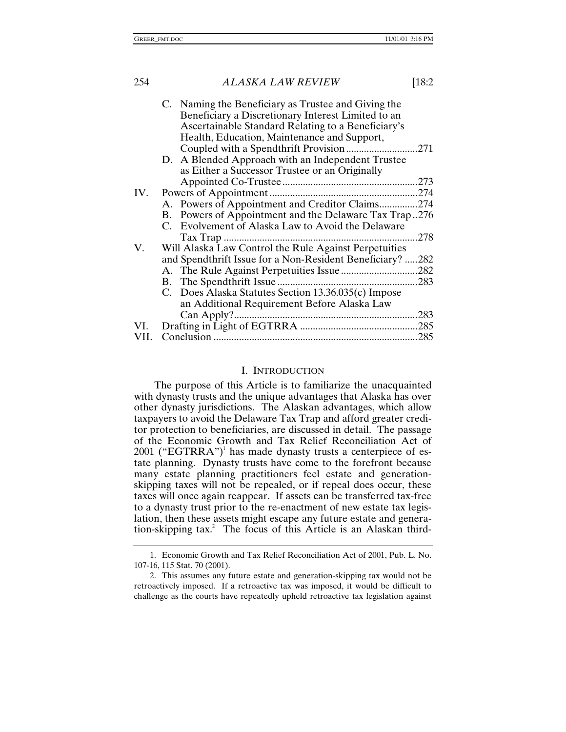|      | C. Naming the Beneficiary as Trustee and Giving the       |      |
|------|-----------------------------------------------------------|------|
|      | Beneficiary a Discretionary Interest Limited to an        |      |
|      | Ascertainable Standard Relating to a Beneficiary's        |      |
|      | Health, Education, Maintenance and Support,               |      |
|      | Coupled with a Spendthrift Provision                      | 271  |
|      | D. A Blended Approach with an Independent Trustee         |      |
|      | as Either a Successor Trustee or an Originally            |      |
|      |                                                           | .273 |
| IV.  |                                                           | .274 |
|      | A. Powers of Appointment and Creditor Claims274           |      |
|      | B. Powers of Appointment and the Delaware Tax Trap276     |      |
|      | C. Evolvement of Alaska Law to Avoid the Delaware         |      |
|      | Tax Trap                                                  | 278  |
| V.   | Will Alaska Law Control the Rule Against Perpetuities     |      |
|      | and Spendthrift Issue for a Non-Resident Beneficiary? 282 |      |
|      |                                                           |      |
|      |                                                           |      |
|      | C. Does Alaska Statutes Section 13.36.035(c) Impose       |      |
|      | an Additional Requirement Before Alaska Law               |      |
|      |                                                           | 283  |
| VI.  |                                                           | .285 |
| VII. |                                                           | .285 |
|      |                                                           |      |

#### I. INTRODUCTION

The purpose of this Article is to familiarize the unacquainted with dynasty trusts and the unique advantages that Alaska has over other dynasty jurisdictions. The Alaskan advantages, which allow taxpayers to avoid the Delaware Tax Trap and afford greater creditor protection to beneficiaries, are discussed in detail. The passage of the Economic Growth and Tax Relief Reconciliation Act of 2001 ("EGTRRA")<sup>1</sup> has made dynasty trusts a centerpiece of estate planning. Dynasty trusts have come to the forefront because many estate planning practitioners feel estate and generationskipping taxes will not be repealed, or if repeal does occur, these taxes will once again reappear. If assets can be transferred tax-free to a dynasty trust prior to the re-enactment of new estate tax legislation, then these assets might escape any future estate and generation-skipping tax.<sup>2</sup> The focus of this Article is an Alaskan third-

<sup>1.</sup> Economic Growth and Tax Relief Reconciliation Act of 2001, Pub. L. No. 107-16, 115 Stat. 70 (2001).

<sup>2.</sup> This assumes any future estate and generation-skipping tax would not be retroactively imposed. If a retroactive tax was imposed, it would be difficult to challenge as the courts have repeatedly upheld retroactive tax legislation against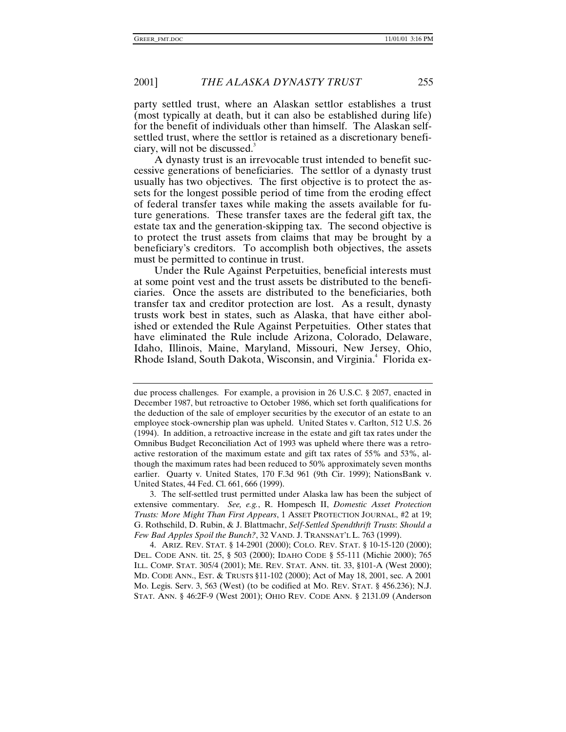party settled trust, where an Alaskan settlor establishes a trust (most typically at death, but it can also be established during life) for the benefit of individuals other than himself. The Alaskan selfsettled trust, where the settlor is retained as a discretionary beneficiary, will not be discussed.<sup>3</sup>

A dynasty trust is an irrevocable trust intended to benefit successive generations of beneficiaries. The settlor of a dynasty trust usually has two objectives. The first objective is to protect the assets for the longest possible period of time from the eroding effect of federal transfer taxes while making the assets available for future generations. These transfer taxes are the federal gift tax, the estate tax and the generation-skipping tax. The second objective is to protect the trust assets from claims that may be brought by a beneficiary's creditors. To accomplish both objectives, the assets must be permitted to continue in trust.

Under the Rule Against Perpetuities, beneficial interests must at some point vest and the trust assets be distributed to the beneficiaries. Once the assets are distributed to the beneficiaries, both transfer tax and creditor protection are lost. As a result, dynasty trusts work best in states, such as Alaska, that have either abolished or extended the Rule Against Perpetuities. Other states that have eliminated the Rule include Arizona, Colorado, Delaware, Idaho, Illinois, Maine, Maryland, Missouri, New Jersey, Ohio, Rhode Island, South Dakota, Wisconsin, and Virginia.<sup>4</sup> Florida ex-

3. The self-settled trust permitted under Alaska law has been the subject of extensive commentary. *See, e.g.*, R. Hompesch II, *Domestic Asset Protection Trusts: More Might Than First Appears*, 1 ASSET PROTECTION JOURNAL, #2 at 19; G. Rothschild, D. Rubin, & J. Blattmachr, *Self-Settled Spendthrift Trusts*: *Should a Few Bad Apples Spoil the Bunch?*, 32 VAND. J. TRANSNAT'L L. 763 (1999).

4. ARIZ. REV. STAT. § 14-2901 (2000); COLO. REV. STAT. § 10-15-120 (2000); DEL. CODE ANN. tit. 25, § 503 (2000); IDAHO CODE § 55-111 (Michie 2000); 765 ILL. COMP. STAT. 305/4 (2001); ME. REV. STAT. ANN. tit. 33, §101-A (West 2000); MD. CODE ANN., EST. & TRUSTS §11-102 (2000); Act of May 18, 2001, sec. A 2001 Mo. Legis. Serv. 3, 563 (West) (to be codified at MO. REV. STAT. § 456.236); N.J. STAT. ANN. § 46:2F-9 (West 2001); OHIO REV. CODE ANN. § 2131.09 (Anderson

due process challenges. For example, a provision in 26 U.S.C. § 2057, enacted in December 1987, but retroactive to October 1986, which set forth qualifications for the deduction of the sale of employer securities by the executor of an estate to an employee stock-ownership plan was upheld. United States v. Carlton, 512 U.S. 26 (1994). In addition, a retroactive increase in the estate and gift tax rates under the Omnibus Budget Reconciliation Act of 1993 was upheld where there was a retroactive restoration of the maximum estate and gift tax rates of 55% and 53%, although the maximum rates had been reduced to 50% approximately seven months earlier. Quarty v. United States, 170 F.3d 961 (9th Cir. 1999); NationsBank v. United States, 44 Fed. Cl. 661, 666 (1999).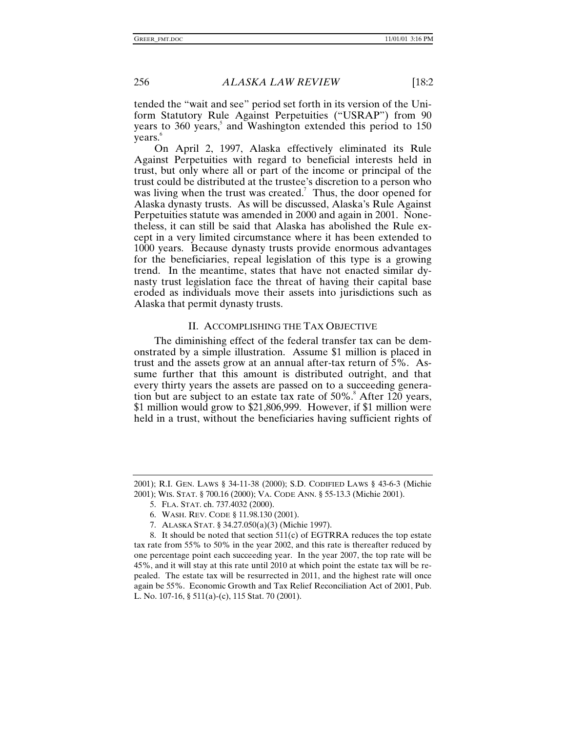tended the "wait and see" period set forth in its version of the Uniform Statutory Rule Against Perpetuities ("USRAP") from 90 years to 360 years,<sup>5</sup> and Washington extended this period to 150 years.<sup>6</sup>

On April 2, 1997, Alaska effectively eliminated its Rule Against Perpetuities with regard to beneficial interests held in trust, but only where all or part of the income or principal of the trust could be distributed at the trustee's discretion to a person who was living when the trust was created.<sup>7</sup> Thus, the door opened for Alaska dynasty trusts. As will be discussed, Alaska's Rule Against Perpetuities statute was amended in 2000 and again in 2001. Nonetheless, it can still be said that Alaska has abolished the Rule except in a very limited circumstance where it has been extended to 1000 years. Because dynasty trusts provide enormous advantages for the beneficiaries, repeal legislation of this type is a growing trend. In the meantime, states that have not enacted similar dynasty trust legislation face the threat of having their capital base eroded as individuals move their assets into jurisdictions such as Alaska that permit dynasty trusts.

# II. ACCOMPLISHING THE TAX OBJECTIVE

The diminishing effect of the federal transfer tax can be demonstrated by a simple illustration. Assume \$1 million is placed in trust and the assets grow at an annual after-tax return of 5%. Assume further that this amount is distributed outright, and that every thirty years the assets are passed on to a succeeding generation but are subject to an estate tax rate of  $50\%$ .<sup>8</sup> After 120 years, \$1 million would grow to \$21,806,999. However, if \$1 million were held in a trust, without the beneficiaries having sufficient rights of

<sup>2001);</sup> R.I. GEN. LAWS § 34-11-38 (2000); S.D. CODIFIED LAWS § 43-6-3 (Michie 2001); WIS. STAT. § 700.16 (2000); VA. CODE ANN. § 55-13.3 (Michie 2001).

<sup>5.</sup> FLA. STAT. ch. 737.4032 (2000).

<sup>6.</sup> WASH. REV. CODE § 11.98.130 (2001).

<sup>7.</sup> ALASKA STAT. § 34.27.050(a)(3) (Michie 1997).

<sup>8.</sup> It should be noted that section  $511(c)$  of EGTRRA reduces the top estate tax rate from 55% to 50% in the year 2002, and this rate is thereafter reduced by one percentage point each succeeding year. In the year 2007, the top rate will be 45%, and it will stay at this rate until 2010 at which point the estate tax will be repealed. The estate tax will be resurrected in 2011, and the highest rate will once again be 55%. Economic Growth and Tax Relief Reconciliation Act of 2001, Pub. L. No. 107-16, § 511(a)-(c), 115 Stat. 70 (2001).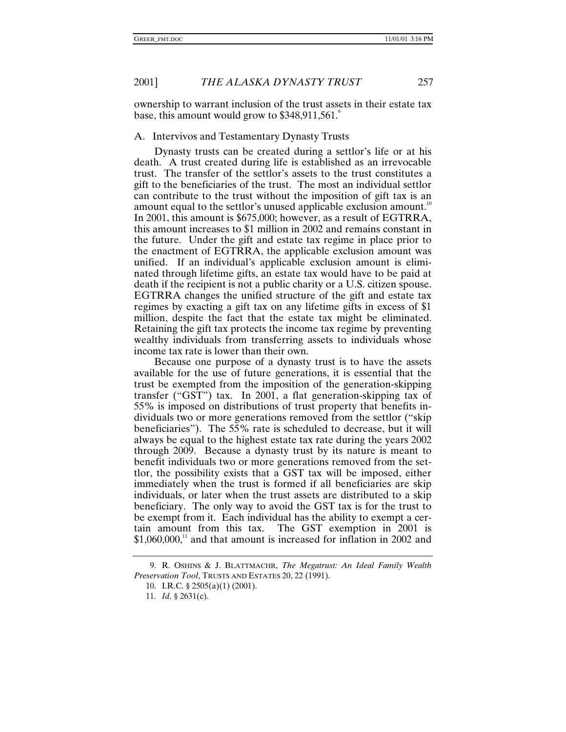ownership to warrant inclusion of the trust assets in their estate tax base, this amount would grow to \$348,911,561.

## A. Intervivos and Testamentary Dynasty Trusts

Dynasty trusts can be created during a settlor's life or at his death. A trust created during life is established as an irrevocable trust. The transfer of the settlor's assets to the trust constitutes a gift to the beneficiaries of the trust. The most an individual settlor can contribute to the trust without the imposition of gift tax is an amount equal to the settlor's unused applicable exclusion amount.<sup>10</sup> In 2001, this amount is \$675,000; however, as a result of EGTRRA, this amount increases to \$1 million in 2002 and remains constant in the future. Under the gift and estate tax regime in place prior to the enactment of EGTRRA, the applicable exclusion amount was unified. If an individual's applicable exclusion amount is eliminated through lifetime gifts, an estate tax would have to be paid at death if the recipient is not a public charity or a U.S. citizen spouse. EGTRRA changes the unified structure of the gift and estate tax regimes by exacting a gift tax on any lifetime gifts in excess of \$1 million, despite the fact that the estate tax might be eliminated. Retaining the gift tax protects the income tax regime by preventing wealthy individuals from transferring assets to individuals whose income tax rate is lower than their own.

Because one purpose of a dynasty trust is to have the assets available for the use of future generations, it is essential that the trust be exempted from the imposition of the generation-skipping transfer ("GST") tax. In 2001, a flat generation-skipping tax of 55% is imposed on distributions of trust property that benefits individuals two or more generations removed from the settlor ("skip beneficiaries"). The 55% rate is scheduled to decrease, but it will always be equal to the highest estate tax rate during the years 2002 through 2009. Because a dynasty trust by its nature is meant to benefit individuals two or more generations removed from the settlor, the possibility exists that a GST tax will be imposed, either immediately when the trust is formed if all beneficiaries are skip individuals, or later when the trust assets are distributed to a skip beneficiary. The only way to avoid the GST tax is for the trust to be exempt from it. Each individual has the ability to exempt a certain amount from this tax. The GST exemption in 2001 is  $$1,060,000$ ,<sup>11</sup> and that amount is increased for inflation in 2002 and

<sup>9.</sup> R. OSHINS & J. BLATTMACHR, *The Megatrust: An Ideal Family Wealth Preservation Tool*, TRUSTS AND ESTATES 20, 22 (1991).

<sup>10.</sup> I.R.C. § 2505(a)(1) (2001).

<sup>11</sup>*. Id*. § 2631(c).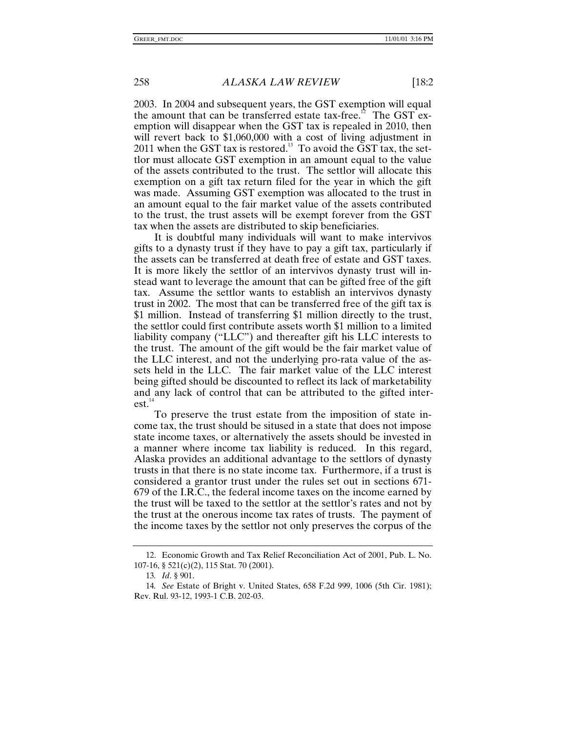2003. In 2004 and subsequent years, the GST exemption will equal the amount that can be transferred estate tax-free.<sup>12</sup> The GST exemption will disappear when the GST tax is repealed in 2010, then will revert back to \$1,060,000 with a cost of living adjustment in 2011 when the GST tax is restored.<sup>13</sup> To avoid the GST tax, the settlor must allocate GST exemption in an amount equal to the value of the assets contributed to the trust. The settlor will allocate this exemption on a gift tax return filed for the year in which the gift was made. Assuming GST exemption was allocated to the trust in an amount equal to the fair market value of the assets contributed to the trust, the trust assets will be exempt forever from the GST tax when the assets are distributed to skip beneficiaries.

It is doubtful many individuals will want to make intervivos gifts to a dynasty trust if they have to pay a gift tax, particularly if the assets can be transferred at death free of estate and GST taxes. It is more likely the settlor of an intervivos dynasty trust will instead want to leverage the amount that can be gifted free of the gift tax. Assume the settlor wants to establish an intervivos dynasty trust in 2002. The most that can be transferred free of the gift tax is \$1 million. Instead of transferring \$1 million directly to the trust, the settlor could first contribute assets worth \$1 million to a limited liability company ("LLC") and thereafter gift his LLC interests to the trust. The amount of the gift would be the fair market value of the LLC interest, and not the underlying pro-rata value of the assets held in the LLC. The fair market value of the LLC interest being gifted should be discounted to reflect its lack of marketability and any lack of control that can be attributed to the gifted inter $est<sup>14</sup>$ 

To preserve the trust estate from the imposition of state income tax, the trust should be sitused in a state that does not impose state income taxes, or alternatively the assets should be invested in a manner where income tax liability is reduced. In this regard, Alaska provides an additional advantage to the settlors of dynasty trusts in that there is no state income tax. Furthermore, if a trust is considered a grantor trust under the rules set out in sections 671- 679 of the I.R.C., the federal income taxes on the income earned by the trust will be taxed to the settlor at the settlor's rates and not by the trust at the onerous income tax rates of trusts. The payment of the income taxes by the settlor not only preserves the corpus of the

<sup>12.</sup> Economic Growth and Tax Relief Reconciliation Act of 2001, Pub. L. No. 107-16, § 521(c)(2), 115 Stat. 70 (2001).

<sup>13</sup>*. Id*. § 901.

<sup>14</sup>*. See* Estate of Bright v. United States, 658 F.2d 999, 1006 (5th Cir. 1981); Rev. Rul. 93-12, 1993-1 C.B. 202-03.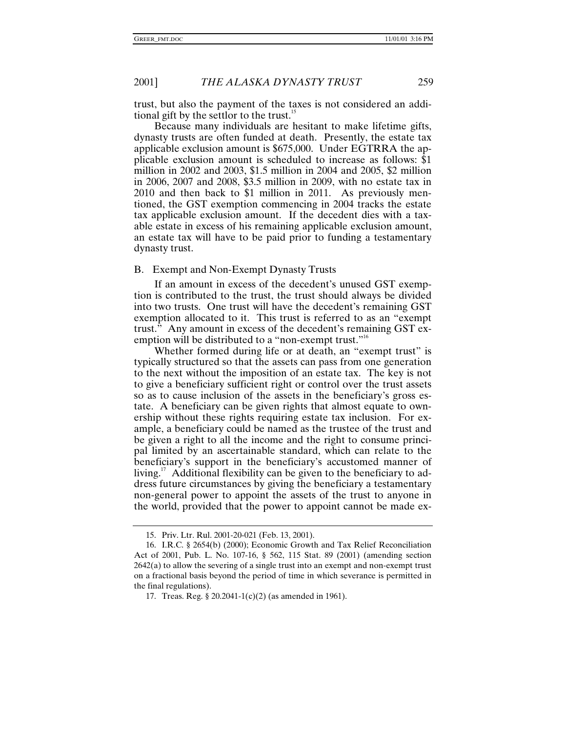trust, but also the payment of the taxes is not considered an additional gift by the settlor to the trust. $\mathbf{1}^{\text{D}}$ 

Because many individuals are hesitant to make lifetime gifts, dynasty trusts are often funded at death. Presently, the estate tax applicable exclusion amount is \$675,000. Under EGTRRA the applicable exclusion amount is scheduled to increase as follows: \$1 million in 2002 and 2003, \$1.5 million in 2004 and 2005, \$2 million in 2006, 2007 and 2008, \$3.5 million in 2009, with no estate tax in 2010 and then back to \$1 million in 2011. As previously mentioned, the GST exemption commencing in 2004 tracks the estate tax applicable exclusion amount. If the decedent dies with a taxable estate in excess of his remaining applicable exclusion amount, an estate tax will have to be paid prior to funding a testamentary dynasty trust.

#### B. Exempt and Non-Exempt Dynasty Trusts

If an amount in excess of the decedent's unused GST exemption is contributed to the trust, the trust should always be divided into two trusts. One trust will have the decedent's remaining GST exemption allocated to it. This trust is referred to as an "exempt trust." Any amount in excess of the decedent's remaining GST exemption will be distributed to a "non-exempt trust."<sup>16</sup>

Whether formed during life or at death, an "exempt trust" is typically structured so that the assets can pass from one generation to the next without the imposition of an estate tax. The key is not to give a beneficiary sufficient right or control over the trust assets so as to cause inclusion of the assets in the beneficiary's gross estate. A beneficiary can be given rights that almost equate to ownership without these rights requiring estate tax inclusion. For example, a beneficiary could be named as the trustee of the trust and be given a right to all the income and the right to consume principal limited by an ascertainable standard, which can relate to the beneficiary's support in the beneficiary's accustomed manner of living.<sup>17</sup> Additional flexibility can be given to the beneficiary to address future circumstances by giving the beneficiary a testamentary non-general power to appoint the assets of the trust to anyone in the world, provided that the power to appoint cannot be made ex-

<sup>15.</sup> Priv. Ltr. Rul. 2001-20-021 (Feb. 13, 2001).

<sup>16.</sup> I.R.C. § 2654(b) (2000); Economic Growth and Tax Relief Reconciliation Act of 2001, Pub. L. No. 107-16, § 562, 115 Stat. 89 (2001) (amending section 2642(a) to allow the severing of a single trust into an exempt and non-exempt trust on a fractional basis beyond the period of time in which severance is permitted in the final regulations).

<sup>17.</sup> Treas. Reg. § 20.2041-1(c)(2) (as amended in 1961).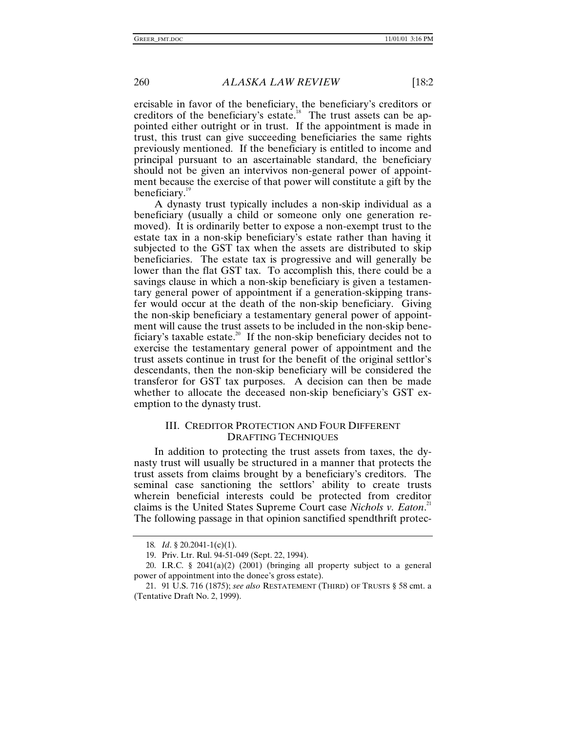ercisable in favor of the beneficiary, the beneficiary's creditors or creditors of the beneficiary's estate.<sup>18</sup> The trust assets can be appointed either outright or in trust. If the appointment is made in trust, this trust can give succeeding beneficiaries the same rights previously mentioned. If the beneficiary is entitled to income and principal pursuant to an ascertainable standard, the beneficiary should not be given an intervivos non-general power of appointment because the exercise of that power will constitute a gift by the beneficiary.<sup>19</sup>

A dynasty trust typically includes a non-skip individual as a beneficiary (usually a child or someone only one generation removed). It is ordinarily better to expose a non-exempt trust to the estate tax in a non-skip beneficiary's estate rather than having it subjected to the GST tax when the assets are distributed to skip beneficiaries. The estate tax is progressive and will generally be lower than the flat GST tax. To accomplish this, there could be a savings clause in which a non-skip beneficiary is given a testamentary general power of appointment if a generation-skipping transfer would occur at the death of the non-skip beneficiary. Giving the non-skip beneficiary a testamentary general power of appointment will cause the trust assets to be included in the non-skip beneficiary's taxable estate.<sup>20</sup> If the non-skip beneficiary decides not to exercise the testamentary general power of appointment and the trust assets continue in trust for the benefit of the original settlor's descendants, then the non-skip beneficiary will be considered the transferor for GST tax purposes. A decision can then be made whether to allocate the deceased non-skip beneficiary's GST exemption to the dynasty trust.

# III. CREDITOR PROTECTION AND FOUR DIFFERENT DRAFTING TECHNIQUES

In addition to protecting the trust assets from taxes, the dynasty trust will usually be structured in a manner that protects the trust assets from claims brought by a beneficiary's creditors. The seminal case sanctioning the settlors' ability to create trusts wherein beneficial interests could be protected from creditor claims is the United States Supreme Court case *Nichols v. Eaton*. 21 The following passage in that opinion sanctified spendthrift protec-

<sup>18</sup>*. Id*. § 20.2041-1(c)(1).

<sup>19.</sup> Priv. Ltr. Rul. 94-51-049 (Sept. 22, 1994).

<sup>20.</sup> I.R.C. § 2041(a)(2) (2001) (bringing all property subject to a general power of appointment into the donee's gross estate).

<sup>21. 91</sup> U.S. 716 (1875); *see also* RESTATEMENT (THIRD) OF TRUSTS § 58 cmt. a (Tentative Draft No. 2, 1999).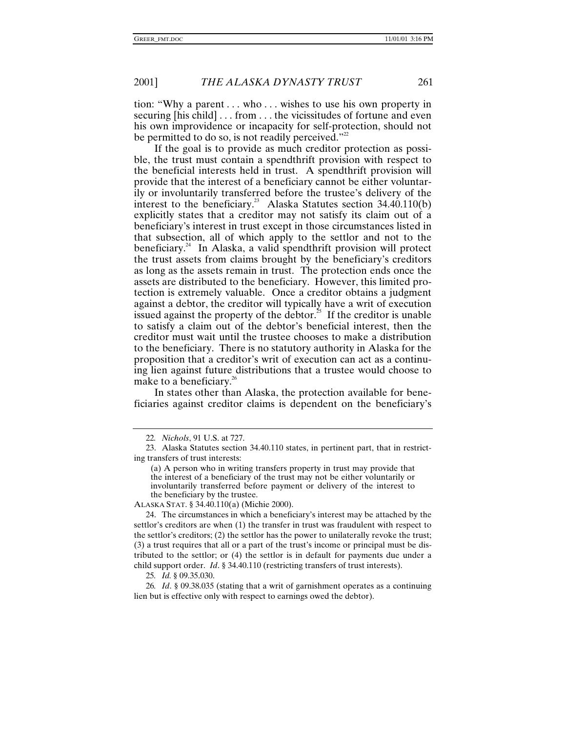tion: "Why a parent . . . who . . . wishes to use his own property in securing [his child] . . . from . . . the vicissitudes of fortune and even his own improvidence or incapacity for self-protection, should not be permitted to do so, is not readily perceived."22

If the goal is to provide as much creditor protection as possible, the trust must contain a spendthrift provision with respect to the beneficial interests held in trust. A spendthrift provision will provide that the interest of a beneficiary cannot be either voluntarily or involuntarily transferred before the trustee's delivery of the interest to the beneficiary.<sup>23</sup> Alaska Statutes section  $34.40.110(b)$ explicitly states that a creditor may not satisfy its claim out of a beneficiary's interest in trust except in those circumstances listed in that subsection, all of which apply to the settlor and not to the beneficiary. $24$  In Alaska, a valid spendthrift provision will protect the trust assets from claims brought by the beneficiary's creditors as long as the assets remain in trust. The protection ends once the assets are distributed to the beneficiary. However, this limited protection is extremely valuable. Once a creditor obtains a judgment against a debtor, the creditor will typically have a writ of execution issued against the property of the debtor.<sup>25</sup> If the creditor is unable to satisfy a claim out of the debtor's beneficial interest, then the creditor must wait until the trustee chooses to make a distribution to the beneficiary. There is no statutory authority in Alaska for the proposition that a creditor's writ of execution can act as a continuing lien against future distributions that a trustee would choose to make to a beneficiary.<sup>26</sup>

In states other than Alaska, the protection available for beneficiaries against creditor claims is dependent on the beneficiary's

ALASKA STAT. § 34.40.110(a) (Michie 2000).

24. The circumstances in which a beneficiary's interest may be attached by the settlor's creditors are when (1) the transfer in trust was fraudulent with respect to the settlor's creditors; (2) the settlor has the power to unilaterally revoke the trust; (3) a trust requires that all or a part of the trust's income or principal must be distributed to the settlor; or (4) the settlor is in default for payments due under a child support order. *Id*. § 34.40.110 (restricting transfers of trust interests).

25*. Id.* § 09.35.030.

26*. Id*. § 09.38.035 (stating that a writ of garnishment operates as a continuing lien but is effective only with respect to earnings owed the debtor).

<sup>22</sup>*. Nichols*, 91 U.S. at 727.

<sup>23.</sup> Alaska Statutes section 34.40.110 states, in pertinent part, that in restricting transfers of trust interests:

<sup>(</sup>a) A person who in writing transfers property in trust may provide that the interest of a beneficiary of the trust may not be either voluntarily or involuntarily transferred before payment or delivery of the interest to the beneficiary by the trustee.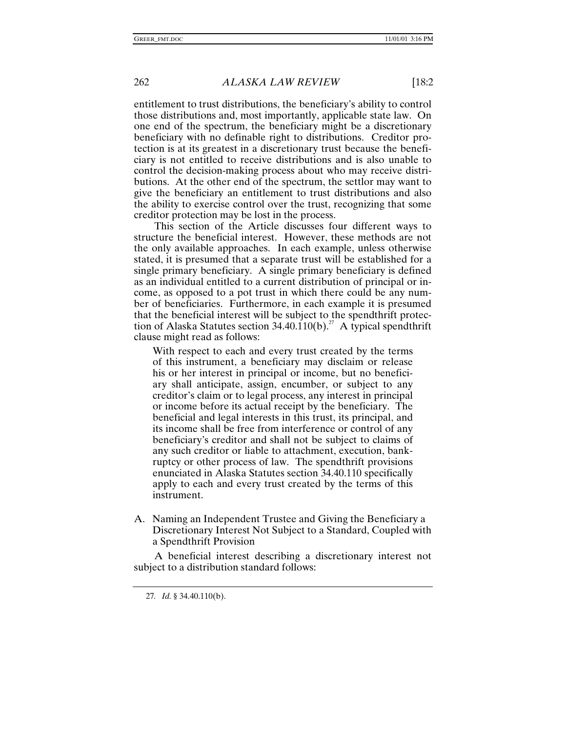entitlement to trust distributions, the beneficiary's ability to control those distributions and, most importantly, applicable state law. On one end of the spectrum, the beneficiary might be a discretionary beneficiary with no definable right to distributions. Creditor protection is at its greatest in a discretionary trust because the beneficiary is not entitled to receive distributions and is also unable to control the decision-making process about who may receive distributions. At the other end of the spectrum, the settlor may want to give the beneficiary an entitlement to trust distributions and also the ability to exercise control over the trust, recognizing that some creditor protection may be lost in the process.

This section of the Article discusses four different ways to structure the beneficial interest. However, these methods are not the only available approaches. In each example, unless otherwise stated, it is presumed that a separate trust will be established for a single primary beneficiary. A single primary beneficiary is defined as an individual entitled to a current distribution of principal or income, as opposed to a pot trust in which there could be any number of beneficiaries. Furthermore, in each example it is presumed that the beneficial interest will be subject to the spendthrift protection of Alaska Statutes section 34.40.110(b).<sup>27</sup> A typical spendthrift clause might read as follows:

With respect to each and every trust created by the terms of this instrument, a beneficiary may disclaim or release his or her interest in principal or income, but no beneficiary shall anticipate, assign, encumber, or subject to any creditor's claim or to legal process, any interest in principal or income before its actual receipt by the beneficiary. The beneficial and legal interests in this trust, its principal, and its income shall be free from interference or control of any beneficiary's creditor and shall not be subject to claims of any such creditor or liable to attachment, execution, bankruptcy or other process of law. The spendthrift provisions enunciated in Alaska Statutes section 34.40.110 specifically apply to each and every trust created by the terms of this instrument.

A. Naming an Independent Trustee and Giving the Beneficiary a Discretionary Interest Not Subject to a Standard, Coupled with a Spendthrift Provision

A beneficial interest describing a discretionary interest not subject to a distribution standard follows:

<sup>27</sup>*. Id.* § 34.40.110(b).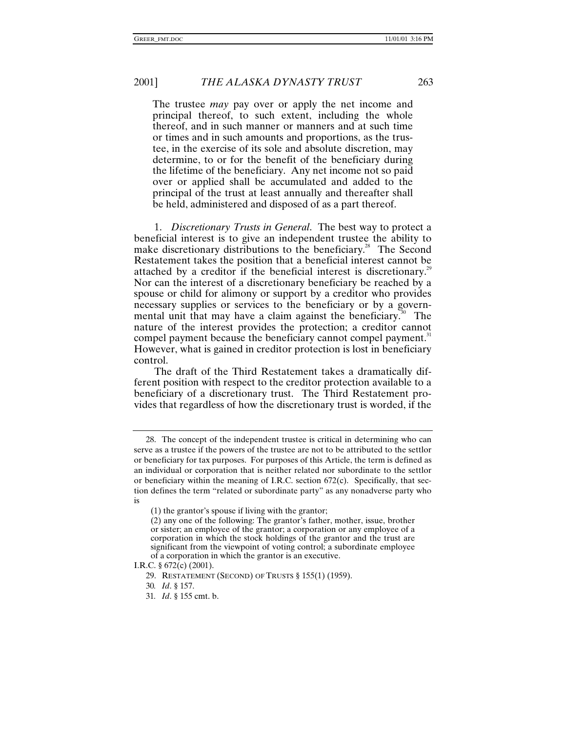The trustee *may* pay over or apply the net income and principal thereof, to such extent, including the whole thereof, and in such manner or manners and at such time or times and in such amounts and proportions, as the trustee, in the exercise of its sole and absolute discretion, may determine, to or for the benefit of the beneficiary during the lifetime of the beneficiary. Any net income not so paid over or applied shall be accumulated and added to the principal of the trust at least annually and thereafter shall be held, administered and disposed of as a part thereof.

1. *Discretionary Trusts in General*. The best way to protect a beneficial interest is to give an independent trustee the ability to make discretionary distributions to the beneficiary.<sup>28</sup> The Second Restatement takes the position that a beneficial interest cannot be attached by a creditor if the beneficial interest is discretionary.<sup>29</sup> Nor can the interest of a discretionary beneficiary be reached by a spouse or child for alimony or support by a creditor who provides necessary supplies or services to the beneficiary or by a governmental unit that may have a claim against the beneficiary.<sup>30</sup> The nature of the interest provides the protection; a creditor cannot compel payment because the beneficiary cannot compel payment.<sup>31</sup> However, what is gained in creditor protection is lost in beneficiary control.

The draft of the Third Restatement takes a dramatically different position with respect to the creditor protection available to a beneficiary of a discretionary trust. The Third Restatement provides that regardless of how the discretionary trust is worded, if the

<sup>28.</sup> The concept of the independent trustee is critical in determining who can serve as a trustee if the powers of the trustee are not to be attributed to the settlor or beneficiary for tax purposes. For purposes of this Article, the term is defined as an individual or corporation that is neither related nor subordinate to the settlor or beneficiary within the meaning of I.R.C. section 672(c). Specifically, that section defines the term "related or subordinate party" as any nonadverse party who is

<sup>(1)</sup> the grantor's spouse if living with the grantor;

<sup>(2)</sup> any one of the following: The grantor's father, mother, issue, brother or sister; an employee of the grantor; a corporation or any employee of a corporation in which the stock holdings of the grantor and the trust are significant from the viewpoint of voting control; a subordinate employee of a corporation in which the grantor is an executive.

I.R.C. § 672(c) (2001).

<sup>29.</sup> RESTATEMENT (SECOND) OF TRUSTS § 155(1) (1959).

<sup>30</sup>*. Id*. § 157.

<sup>31</sup>*. Id*. § 155 cmt. b.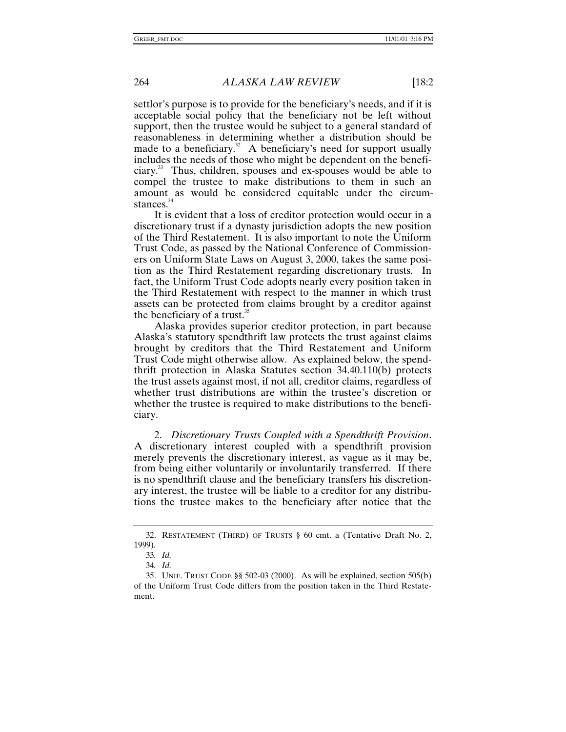settlor's purpose is to provide for the beneficiary's needs, and if it is acceptable social policy that the beneficiary not be left without support, then the trustee would be subject to a general standard of reasonableness in determining whether a distribution should be made to a beneficiary.<sup>32</sup> A beneficiary's need for support usually includes the needs of those who might be dependent on the beneficiary.33 Thus, children, spouses and ex-spouses would be able to compel the trustee to make distributions to them in such an amount as would be considered equitable under the circumstances.<sup>34</sup>

It is evident that a loss of creditor protection would occur in a discretionary trust if a dynasty jurisdiction adopts the new position of the Third Restatement. It is also important to note the Uniform Trust Code, as passed by the National Conference of Commissioners on Uniform State Laws on August 3, 2000, takes the same position as the Third Restatement regarding discretionary trusts. In fact, the Uniform Trust Code adopts nearly every position taken in the Third Restatement with respect to the manner in which trust assets can be protected from claims brought by a creditor against the beneficiary of a trust.<sup>35</sup>

Alaska provides superior creditor protection, in part because Alaska's statutory spendthrift law protects the trust against claims brought by creditors that the Third Restatement and Uniform Trust Code might otherwise allow. As explained below, the spendthrift protection in Alaska Statutes section 34.40.110(b) protects the trust assets against most, if not all, creditor claims, regardless of whether trust distributions are within the trustee's discretion or whether the trustee is required to make distributions to the beneficiary.

2. *Discretionary Trusts Coupled with a Spendthrift Provision*. A discretionary interest coupled with a spendthrift provision merely prevents the discretionary interest, as vague as it may be, from being either voluntarily or involuntarily transferred. If there is no spendthrift clause and the beneficiary transfers his discretionary interest, the trustee will be liable to a creditor for any distributions the trustee makes to the beneficiary after notice that the

<sup>32.</sup> RESTATEMENT (THIRD) OF TRUSTS § 60 cmt. a (Tentative Draft No. 2, 1999).

<sup>33</sup>*. Id.*

<sup>34</sup>*. Id.*

<sup>35.</sup> UNIF. TRUST CODE §§ 502-03 (2000). As will be explained, section 505(b) of the Uniform Trust Code differs from the position taken in the Third Restatement.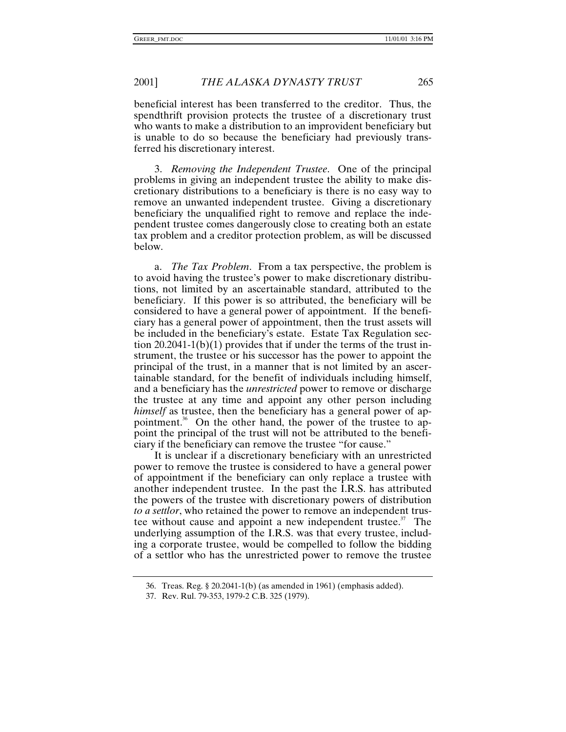beneficial interest has been transferred to the creditor. Thus, the spendthrift provision protects the trustee of a discretionary trust who wants to make a distribution to an improvident beneficiary but is unable to do so because the beneficiary had previously transferred his discretionary interest.

3. *Removing the Independent Trustee*. One of the principal problems in giving an independent trustee the ability to make discretionary distributions to a beneficiary is there is no easy way to remove an unwanted independent trustee. Giving a discretionary beneficiary the unqualified right to remove and replace the independent trustee comes dangerously close to creating both an estate tax problem and a creditor protection problem, as will be discussed below.

a. *The Tax Problem*. From a tax perspective, the problem is to avoid having the trustee's power to make discretionary distributions, not limited by an ascertainable standard, attributed to the beneficiary. If this power is so attributed, the beneficiary will be considered to have a general power of appointment. If the beneficiary has a general power of appointment, then the trust assets will be included in the beneficiary's estate. Estate Tax Regulation section  $20.2041-1(b)(1)$  provides that if under the terms of the trust instrument, the trustee or his successor has the power to appoint the principal of the trust, in a manner that is not limited by an ascertainable standard, for the benefit of individuals including himself, and a beneficiary has the *unrestricted* power to remove or discharge the trustee at any time and appoint any other person including *himself* as trustee, then the beneficiary has a general power of appointment.<sup>36</sup> On the other hand, the power of the trustee to appoint the principal of the trust will not be attributed to the beneficiary if the beneficiary can remove the trustee "for cause."

It is unclear if a discretionary beneficiary with an unrestricted power to remove the trustee is considered to have a general power of appointment if the beneficiary can only replace a trustee with another independent trustee. In the past the I.R.S. has attributed the powers of the trustee with discretionary powers of distribution *to a settlor*, who retained the power to remove an independent trustee without cause and appoint a new independent trustee.<sup>37</sup> The underlying assumption of the I.R.S. was that every trustee, including a corporate trustee, would be compelled to follow the bidding of a settlor who has the unrestricted power to remove the trustee

<sup>36.</sup> Treas. Reg. § 20.2041-1(b) (as amended in 1961) (emphasis added).

<sup>37.</sup> Rev. Rul. 79-353, 1979-2 C.B. 325 (1979).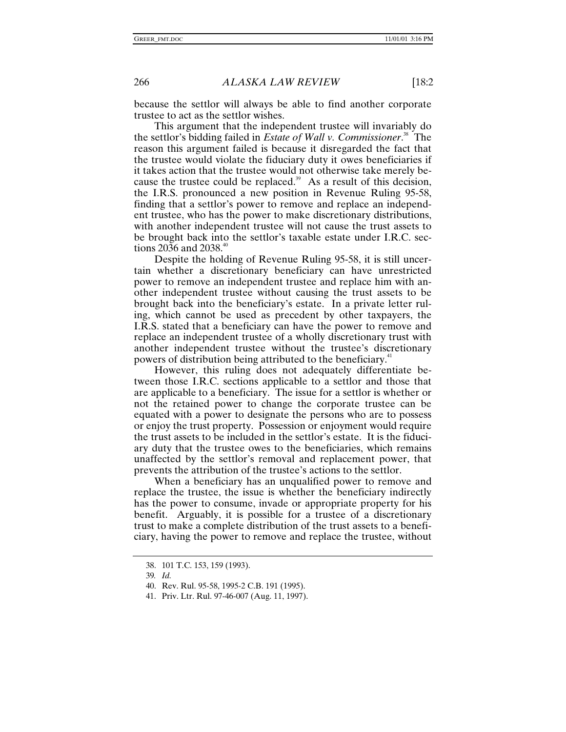because the settlor will always be able to find another corporate trustee to act as the settlor wishes.

This argument that the independent trustee will invariably do the settlor's bidding failed in *Estate of Wall v. Commissioner*. 38 The reason this argument failed is because it disregarded the fact that the trustee would violate the fiduciary duty it owes beneficiaries if it takes action that the trustee would not otherwise take merely because the trustee could be replaced. $39$  As a result of this decision, the I.R.S. pronounced a new position in Revenue Ruling 95-58, finding that a settlor's power to remove and replace an independent trustee, who has the power to make discretionary distributions, with another independent trustee will not cause the trust assets to be brought back into the settlor's taxable estate under I.R.C. sections 2036 and 2038.<sup>40</sup>

Despite the holding of Revenue Ruling 95-58, it is still uncertain whether a discretionary beneficiary can have unrestricted power to remove an independent trustee and replace him with another independent trustee without causing the trust assets to be brought back into the beneficiary's estate. In a private letter ruling, which cannot be used as precedent by other taxpayers, the I.R.S. stated that a beneficiary can have the power to remove and replace an independent trustee of a wholly discretionary trust with another independent trustee without the trustee's discretionary powers of distribution being attributed to the beneficiary.<sup>41</sup>

However, this ruling does not adequately differentiate between those I.R.C. sections applicable to a settlor and those that are applicable to a beneficiary. The issue for a settlor is whether or not the retained power to change the corporate trustee can be equated with a power to designate the persons who are to possess or enjoy the trust property. Possession or enjoyment would require the trust assets to be included in the settlor's estate. It is the fiduciary duty that the trustee owes to the beneficiaries, which remains unaffected by the settlor's removal and replacement power, that prevents the attribution of the trustee's actions to the settlor.

When a beneficiary has an unqualified power to remove and replace the trustee, the issue is whether the beneficiary indirectly has the power to consume, invade or appropriate property for his benefit. Arguably, it is possible for a trustee of a discretionary trust to make a complete distribution of the trust assets to a beneficiary, having the power to remove and replace the trustee, without

<sup>38. 101</sup> T.C. 153, 159 (1993).

<sup>39</sup>*. Id.*

<sup>40.</sup> Rev. Rul. 95-58, 1995-2 C.B. 191 (1995).

<sup>41.</sup> Priv. Ltr. Rul. 97-46-007 (Aug. 11, 1997).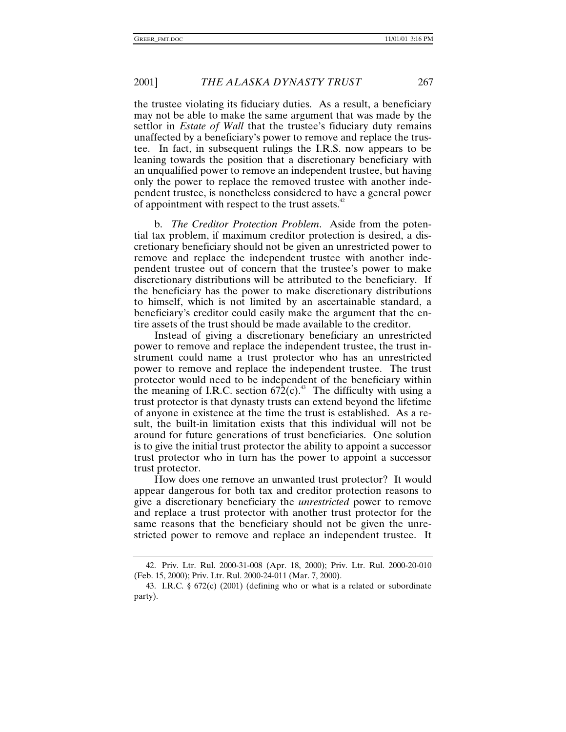the trustee violating its fiduciary duties. As a result, a beneficiary may not be able to make the same argument that was made by the settlor in *Estate of Wall* that the trustee's fiduciary duty remains unaffected by a beneficiary's power to remove and replace the trustee. In fact, in subsequent rulings the I.R.S. now appears to be leaning towards the position that a discretionary beneficiary with an unqualified power to remove an independent trustee, but having only the power to replace the removed trustee with another independent trustee, is nonetheless considered to have a general power of appointment with respect to the trust assets. $42$ 

b. *The Creditor Protection Problem*. Aside from the potential tax problem, if maximum creditor protection is desired, a discretionary beneficiary should not be given an unrestricted power to remove and replace the independent trustee with another independent trustee out of concern that the trustee's power to make discretionary distributions will be attributed to the beneficiary. If the beneficiary has the power to make discretionary distributions to himself, which is not limited by an ascertainable standard, a beneficiary's creditor could easily make the argument that the entire assets of the trust should be made available to the creditor.

Instead of giving a discretionary beneficiary an unrestricted power to remove and replace the independent trustee, the trust instrument could name a trust protector who has an unrestricted power to remove and replace the independent trustee. The trust protector would need to be independent of the beneficiary within the meaning of I.R.C. section  $672(c)$ .<sup>43</sup> The difficulty with using a trust protector is that dynasty trusts can extend beyond the lifetime of anyone in existence at the time the trust is established. As a result, the built-in limitation exists that this individual will not be around for future generations of trust beneficiaries. One solution is to give the initial trust protector the ability to appoint a successor trust protector who in turn has the power to appoint a successor trust protector.

How does one remove an unwanted trust protector? It would appear dangerous for both tax and creditor protection reasons to give a discretionary beneficiary the *unrestricted* power to remove and replace a trust protector with another trust protector for the same reasons that the beneficiary should not be given the unrestricted power to remove and replace an independent trustee. It

<sup>42.</sup> Priv. Ltr. Rul. 2000-31-008 (Apr. 18, 2000); Priv. Ltr. Rul. 2000-20-010 (Feb. 15, 2000); Priv. Ltr. Rul. 2000-24-011 (Mar. 7, 2000).

<sup>43.</sup> I.R.C. § 672(c) (2001) (defining who or what is a related or subordinate party).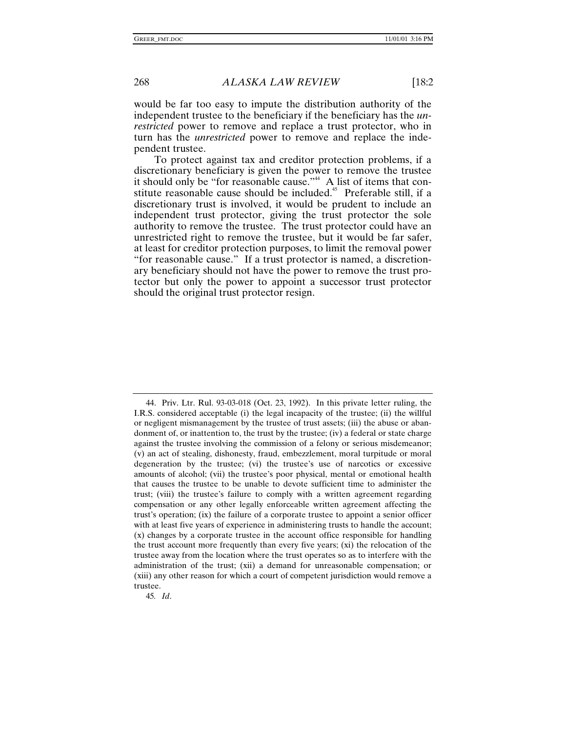would be far too easy to impute the distribution authority of the independent trustee to the beneficiary if the beneficiary has the *unrestricted* power to remove and replace a trust protector, who in turn has the *unrestricted* power to remove and replace the independent trustee.

To protect against tax and creditor protection problems, if a discretionary beneficiary is given the power to remove the trustee it should only be "for reasonable cause."<sup>44</sup> A list of items that constitute reasonable cause should be included.<sup>45</sup> Preferable still, if a discretionary trust is involved, it would be prudent to include an independent trust protector, giving the trust protector the sole authority to remove the trustee. The trust protector could have an unrestricted right to remove the trustee, but it would be far safer, at least for creditor protection purposes, to limit the removal power "for reasonable cause." If a trust protector is named, a discretionary beneficiary should not have the power to remove the trust protector but only the power to appoint a successor trust protector should the original trust protector resign.

45*. Id*.

<sup>44.</sup> Priv. Ltr. Rul. 93-03-018 (Oct. 23, 1992). In this private letter ruling, the I.R.S. considered acceptable (i) the legal incapacity of the trustee; (ii) the willful or negligent mismanagement by the trustee of trust assets; (iii) the abuse or abandonment of, or inattention to, the trust by the trustee; (iv) a federal or state charge against the trustee involving the commission of a felony or serious misdemeanor; (v) an act of stealing, dishonesty, fraud, embezzlement, moral turpitude or moral degeneration by the trustee; (vi) the trustee's use of narcotics or excessive amounts of alcohol; (vii) the trustee's poor physical, mental or emotional health that causes the trustee to be unable to devote sufficient time to administer the trust; (viii) the trustee's failure to comply with a written agreement regarding compensation or any other legally enforceable written agreement affecting the trust's operation; (ix) the failure of a corporate trustee to appoint a senior officer with at least five years of experience in administering trusts to handle the account; (x) changes by a corporate trustee in the account office responsible for handling the trust account more frequently than every five years; (xi) the relocation of the trustee away from the location where the trust operates so as to interfere with the administration of the trust; (xii) a demand for unreasonable compensation; or (xiii) any other reason for which a court of competent jurisdiction would remove a trustee.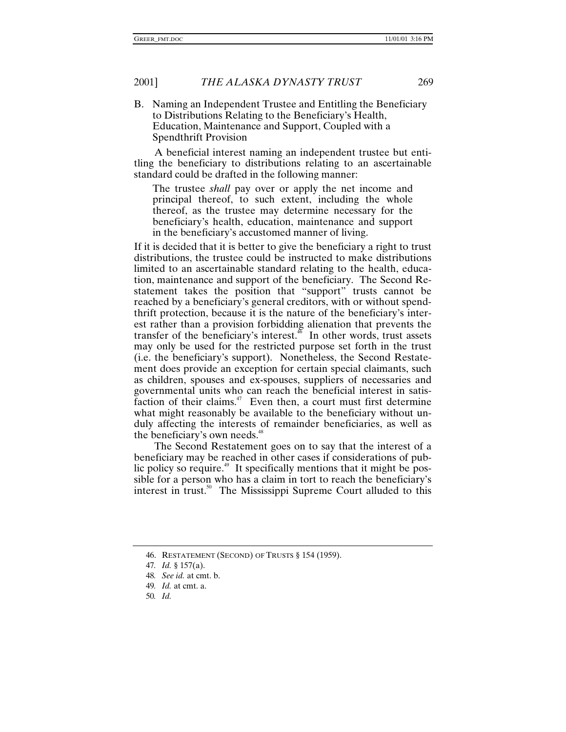B. Naming an Independent Trustee and Entitling the Beneficiary to Distributions Relating to the Beneficiary's Health, Education, Maintenance and Support, Coupled with a Spendthrift Provision

A beneficial interest naming an independent trustee but entitling the beneficiary to distributions relating to an ascertainable standard could be drafted in the following manner:

The trustee *shall* pay over or apply the net income and principal thereof, to such extent, including the whole thereof, as the trustee may determine necessary for the beneficiary's health, education, maintenance and support in the beneficiary's accustomed manner of living.

If it is decided that it is better to give the beneficiary a right to trust distributions, the trustee could be instructed to make distributions limited to an ascertainable standard relating to the health, education, maintenance and support of the beneficiary. The Second Restatement takes the position that "support" trusts cannot be reached by a beneficiary's general creditors, with or without spendthrift protection, because it is the nature of the beneficiary's interest rather than a provision forbidding alienation that prevents the transfer of the beneficiary's interest.<sup>46</sup> In other words, trust assets may only be used for the restricted purpose set forth in the trust (i.e. the beneficiary's support). Nonetheless, the Second Restatement does provide an exception for certain special claimants, such as children, spouses and ex-spouses, suppliers of necessaries and governmental units who can reach the beneficial interest in satisfaction of their claims. $47$  Even then, a court must first determine what might reasonably be available to the beneficiary without unduly affecting the interests of remainder beneficiaries, as well as the beneficiary's own needs.<sup>48</sup>

The Second Restatement goes on to say that the interest of a beneficiary may be reached in other cases if considerations of public policy so require.<sup>49</sup> It specifically mentions that it might be possible for a person who has a claim in tort to reach the beneficiary's interest in trust.<sup>50</sup> The Mississippi Supreme Court alluded to this

<sup>46.</sup> RESTATEMENT (SECOND) OF TRUSTS § 154 (1959).

<sup>47</sup>*. Id.* § 157(a).

<sup>48</sup>*. See id.* at cmt. b.

<sup>49</sup>*. Id.* at cmt. a.

<sup>50</sup>*. Id.*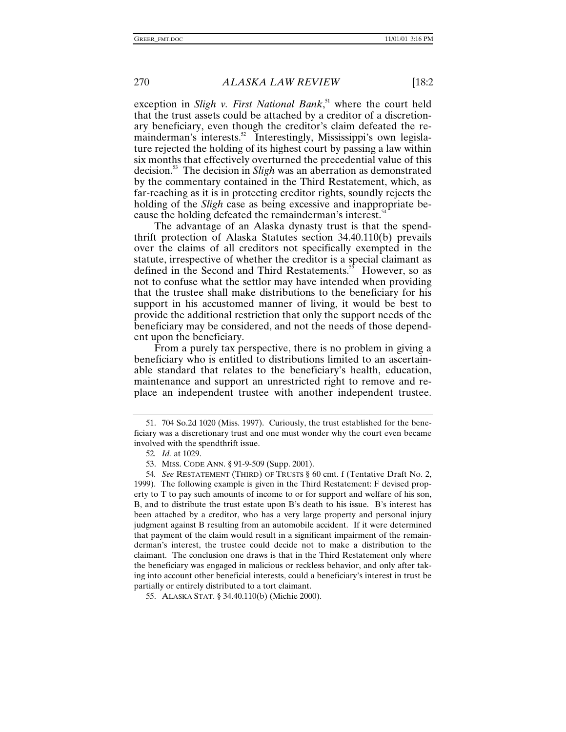exception in *Sligh v. First National Bank*, 51 where the court held that the trust assets could be attached by a creditor of a discretionary beneficiary, even though the creditor's claim defeated the remainderman's interests.<sup>52</sup> Interestingly, Mississippi's own legislature rejected the holding of its highest court by passing a law within six months that effectively overturned the precedential value of this decision.53 The decision in *Sligh* was an aberration as demonstrated by the commentary contained in the Third Restatement, which, as far-reaching as it is in protecting creditor rights, soundly rejects the holding of the *Sligh* case as being excessive and inappropriate because the holding defeated the remainderman's interest.<sup>54</sup>

The advantage of an Alaska dynasty trust is that the spendthrift protection of Alaska Statutes section 34.40.110(b) prevails over the claims of all creditors not specifically exempted in the statute, irrespective of whether the creditor is a special claimant as defined in the Second and Third Restatements.<sup>35</sup> However, so as not to confuse what the settlor may have intended when providing that the trustee shall make distributions to the beneficiary for his support in his accustomed manner of living, it would be best to provide the additional restriction that only the support needs of the beneficiary may be considered, and not the needs of those dependent upon the beneficiary.

From a purely tax perspective, there is no problem in giving a beneficiary who is entitled to distributions limited to an ascertainable standard that relates to the beneficiary's health, education, maintenance and support an unrestricted right to remove and replace an independent trustee with another independent trustee.

<sup>51. 704</sup> So.2d 1020 (Miss. 1997). Curiously, the trust established for the beneficiary was a discretionary trust and one must wonder why the court even became involved with the spendthrift issue.

<sup>52</sup>*. Id.* at 1029.

<sup>53.</sup> MISS. CODE ANN. § 91-9-509 (Supp. 2001).

<sup>54</sup>*. See* RESTATEMENT (THIRD) OF TRUSTS § 60 cmt. f (Tentative Draft No. 2, 1999). The following example is given in the Third Restatement: F devised property to T to pay such amounts of income to or for support and welfare of his son, B, and to distribute the trust estate upon B's death to his issue. B's interest has been attached by a creditor, who has a very large property and personal injury judgment against B resulting from an automobile accident. If it were determined that payment of the claim would result in a significant impairment of the remainderman's interest, the trustee could decide not to make a distribution to the claimant. The conclusion one draws is that in the Third Restatement only where the beneficiary was engaged in malicious or reckless behavior, and only after taking into account other beneficial interests, could a beneficiary's interest in trust be partially or entirely distributed to a tort claimant.

<sup>55.</sup> ALASKA STAT. § 34.40.110(b) (Michie 2000).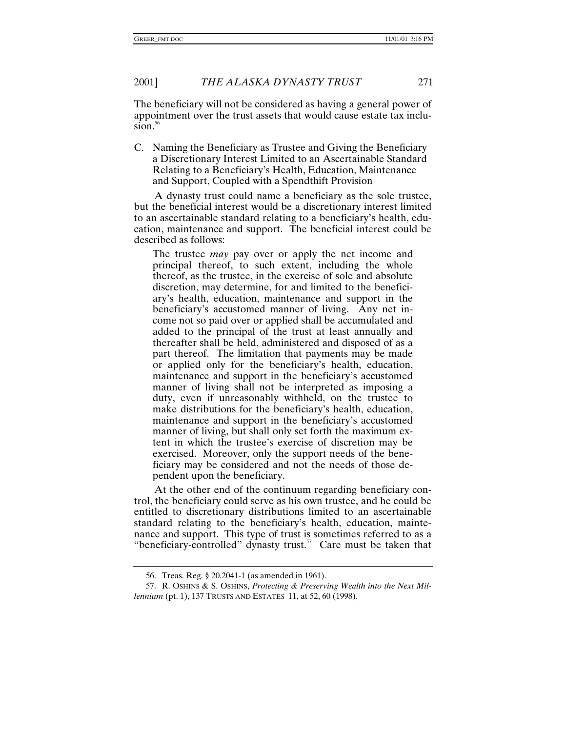The beneficiary will not be considered as having a general power of appointment over the trust assets that would cause estate tax inclusion. $56$ 

C. Naming the Beneficiary as Trustee and Giving the Beneficiary a Discretionary Interest Limited to an Ascertainable Standard Relating to a Beneficiary's Health, Education, Maintenance and Support, Coupled with a Spendthift Provision

A dynasty trust could name a beneficiary as the sole trustee, but the beneficial interest would be a discretionary interest limited to an ascertainable standard relating to a beneficiary's health, education, maintenance and support. The beneficial interest could be described as follows:

The trustee *may* pay over or apply the net income and principal thereof, to such extent, including the whole thereof, as the trustee, in the exercise of sole and absolute discretion, may determine, for and limited to the beneficiary's health, education, maintenance and support in the beneficiary's accustomed manner of living. Any net income not so paid over or applied shall be accumulated and added to the principal of the trust at least annually and thereafter shall be held, administered and disposed of as a part thereof. The limitation that payments may be made or applied only for the beneficiary's health, education, maintenance and support in the beneficiary's accustomed manner of living shall not be interpreted as imposing a duty, even if unreasonably withheld, on the trustee to make distributions for the beneficiary's health, education, maintenance and support in the beneficiary's accustomed manner of living, but shall only set forth the maximum extent in which the trustee's exercise of discretion may be exercised. Moreover, only the support needs of the beneficiary may be considered and not the needs of those dependent upon the beneficiary.

At the other end of the continuum regarding beneficiary control, the beneficiary could serve as his own trustee, and he could be entitled to discretionary distributions limited to an ascertainable standard relating to the beneficiary's health, education, maintenance and support. This type of trust is sometimes referred to as a "beneficiary-controlled" dynasty trust. $57$  Care must be taken that

<sup>56.</sup> Treas. Reg. § 20.2041-1 (as amended in 1961).

<sup>57.</sup> R. OSHINS & S. OSHINS, *Protecting & Preserving Wealth into the Next Millennium* (pt. 1), 137 TRUSTS AND ESTATES 11, at 52, 60 (1998).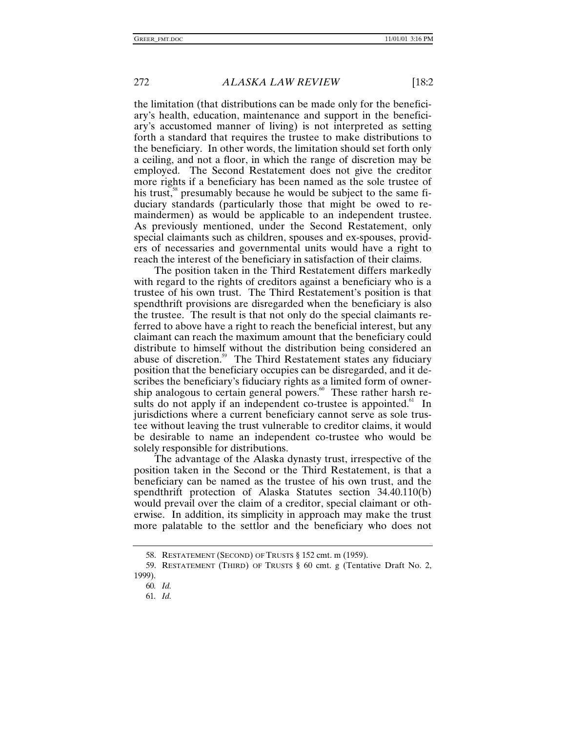the limitation (that distributions can be made only for the beneficiary's health, education, maintenance and support in the beneficiary's accustomed manner of living) is not interpreted as setting forth a standard that requires the trustee to make distributions to the beneficiary. In other words, the limitation should set forth only a ceiling, and not a floor, in which the range of discretion may be employed. The Second Restatement does not give the creditor more rights if a beneficiary has been named as the sole trustee of his trust,<sup>38</sup> presumably because he would be subject to the same fiduciary standards (particularly those that might be owed to remaindermen) as would be applicable to an independent trustee. As previously mentioned, under the Second Restatement, only special claimants such as children, spouses and ex-spouses, providers of necessaries and governmental units would have a right to reach the interest of the beneficiary in satisfaction of their claims.

The position taken in the Third Restatement differs markedly with regard to the rights of creditors against a beneficiary who is a trustee of his own trust. The Third Restatement's position is that spendthrift provisions are disregarded when the beneficiary is also the trustee. The result is that not only do the special claimants referred to above have a right to reach the beneficial interest, but any claimant can reach the maximum amount that the beneficiary could distribute to himself without the distribution being considered an abuse of discretion.<sup>59</sup> The Third Restatement states any fiduciary position that the beneficiary occupies can be disregarded, and it describes the beneficiary's fiduciary rights as a limited form of ownership analogous to certain general powers. $60$  These rather harsh results do not apply if an independent co-trustee is appointed.<sup>61</sup> In jurisdictions where a current beneficiary cannot serve as sole trustee without leaving the trust vulnerable to creditor claims, it would be desirable to name an independent co-trustee who would be solely responsible for distributions.

The advantage of the Alaska dynasty trust, irrespective of the position taken in the Second or the Third Restatement, is that a beneficiary can be named as the trustee of his own trust, and the spendthrift protection of Alaska Statutes section 34.40.110(b) would prevail over the claim of a creditor, special claimant or otherwise. In addition, its simplicity in approach may make the trust more palatable to the settlor and the beneficiary who does not

<sup>58.</sup> RESTATEMENT (SECOND) OF TRUSTS § 152 cmt. m (1959).

<sup>59.</sup> RESTATEMENT (THIRD) OF TRUSTS § 60 cmt. g (Tentative Draft No. 2, 1999).

<sup>60</sup>*. Id.*

<sup>61</sup>*. Id.*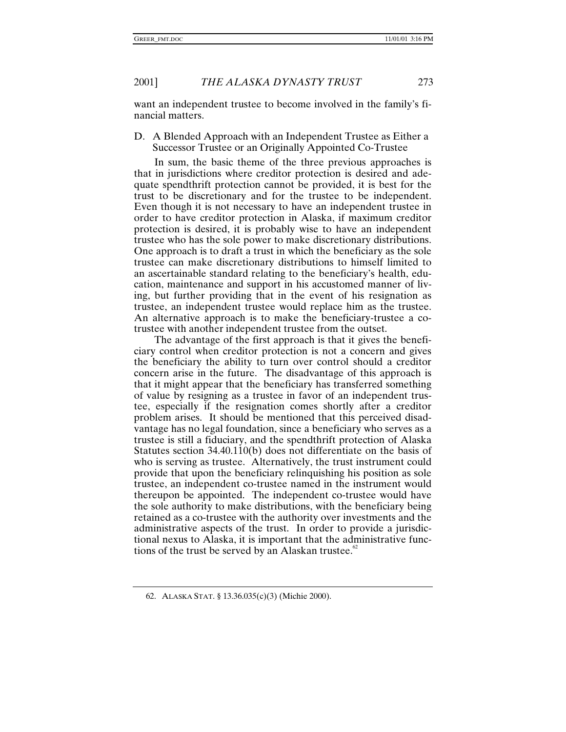want an independent trustee to become involved in the family's financial matters.

D. A Blended Approach with an Independent Trustee as Either a Successor Trustee or an Originally Appointed Co-Trustee

In sum, the basic theme of the three previous approaches is that in jurisdictions where creditor protection is desired and adequate spendthrift protection cannot be provided, it is best for the trust to be discretionary and for the trustee to be independent. Even though it is not necessary to have an independent trustee in order to have creditor protection in Alaska, if maximum creditor protection is desired, it is probably wise to have an independent trustee who has the sole power to make discretionary distributions. One approach is to draft a trust in which the beneficiary as the sole trustee can make discretionary distributions to himself limited to an ascertainable standard relating to the beneficiary's health, education, maintenance and support in his accustomed manner of living, but further providing that in the event of his resignation as trustee, an independent trustee would replace him as the trustee. An alternative approach is to make the beneficiary-trustee a cotrustee with another independent trustee from the outset.

The advantage of the first approach is that it gives the beneficiary control when creditor protection is not a concern and gives the beneficiary the ability to turn over control should a creditor concern arise in the future. The disadvantage of this approach is that it might appear that the beneficiary has transferred something of value by resigning as a trustee in favor of an independent trustee, especially if the resignation comes shortly after a creditor problem arises. It should be mentioned that this perceived disadvantage has no legal foundation, since a beneficiary who serves as a trustee is still a fiduciary, and the spendthrift protection of Alaska Statutes section 34.40.110(b) does not differentiate on the basis of who is serving as trustee. Alternatively, the trust instrument could provide that upon the beneficiary relinquishing his position as sole trustee, an independent co-trustee named in the instrument would thereupon be appointed. The independent co-trustee would have the sole authority to make distributions, with the beneficiary being retained as a co-trustee with the authority over investments and the administrative aspects of the trust. In order to provide a jurisdictional nexus to Alaska, it is important that the administrative functions of the trust be served by an Alaskan trustee. $\mathbb{S}^2$ 

<sup>62.</sup> ALASKA STAT. § 13.36.035(c)(3) (Michie 2000).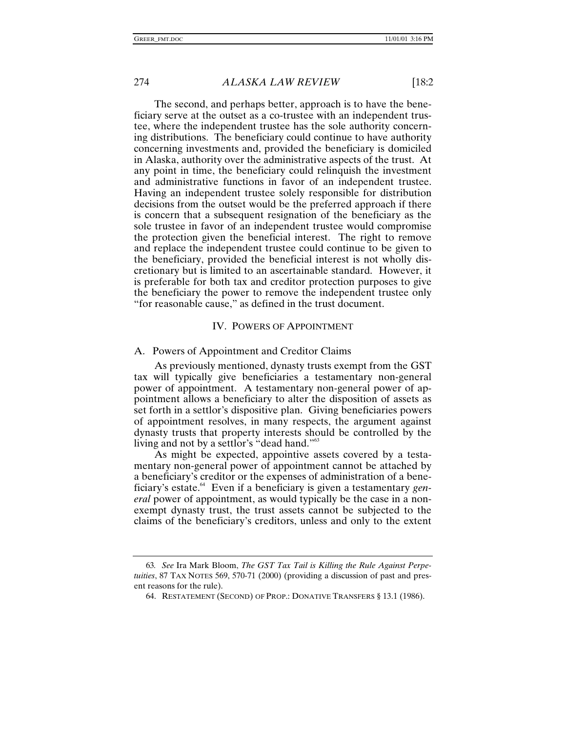The second, and perhaps better, approach is to have the beneficiary serve at the outset as a co-trustee with an independent trustee, where the independent trustee has the sole authority concerning distributions. The beneficiary could continue to have authority concerning investments and, provided the beneficiary is domiciled in Alaska, authority over the administrative aspects of the trust. At any point in time, the beneficiary could relinquish the investment and administrative functions in favor of an independent trustee. Having an independent trustee solely responsible for distribution decisions from the outset would be the preferred approach if there is concern that a subsequent resignation of the beneficiary as the sole trustee in favor of an independent trustee would compromise the protection given the beneficial interest. The right to remove and replace the independent trustee could continue to be given to the beneficiary, provided the beneficial interest is not wholly discretionary but is limited to an ascertainable standard. However, it is preferable for both tax and creditor protection purposes to give the beneficiary the power to remove the independent trustee only "for reasonable cause," as defined in the trust document.

#### IV. POWERS OF APPOINTMENT

#### A. Powers of Appointment and Creditor Claims

As previously mentioned, dynasty trusts exempt from the GST tax will typically give beneficiaries a testamentary non-general power of appointment. A testamentary non-general power of appointment allows a beneficiary to alter the disposition of assets as set forth in a settlor's dispositive plan. Giving beneficiaries powers of appointment resolves, in many respects, the argument against dynasty trusts that property interests should be controlled by the living and not by a settlor's "dead hand."<sup>63</sup>

As might be expected, appointive assets covered by a testamentary non-general power of appointment cannot be attached by a beneficiary's creditor or the expenses of administration of a beneficiary's estate.<sup>\*</sup> Even if a beneficiary is given a testamentary *general* power of appointment, as would typically be the case in a nonexempt dynasty trust, the trust assets cannot be subjected to the claims of the beneficiary's creditors, unless and only to the extent

<sup>63</sup>*. See* Ira Mark Bloom, *The GST Tax Tail is Killing the Rule Against Perpetuities*, 87 TAX NOTES 569, 570-71 (2000) (providing a discussion of past and present reasons for the rule).

<sup>64.</sup> RESTATEMENT (SECOND) OF PROP.: DONATIVE TRANSFERS § 13.1 (1986).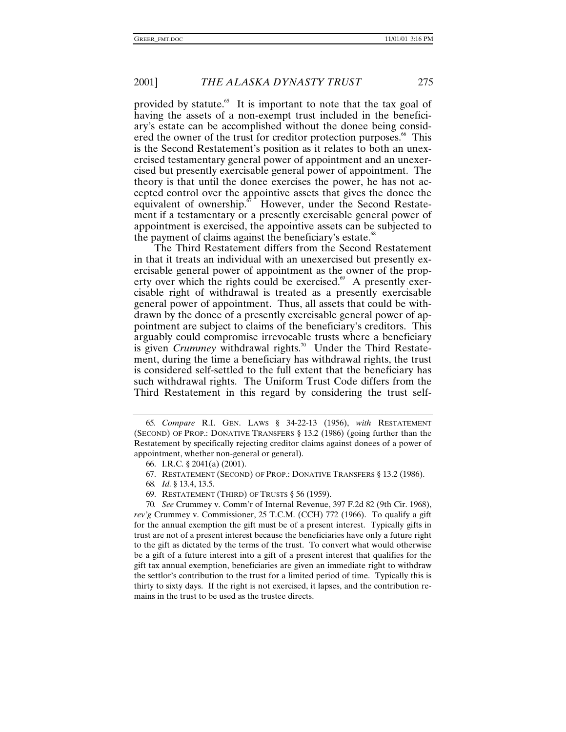provided by statute. $65$  It is important to note that the tax goal of having the assets of a non-exempt trust included in the beneficiary's estate can be accomplished without the donee being considered the owner of the trust for creditor protection purposes.<sup>66</sup> This is the Second Restatement's position as it relates to both an unexercised testamentary general power of appointment and an unexercised but presently exercisable general power of appointment. The theory is that until the donee exercises the power, he has not accepted control over the appointive assets that gives the donee the equivalent of ownership.<sup>87</sup> However, under the Second Restatement if a testamentary or a presently exercisable general power of appointment is exercised, the appointive assets can be subjected to the payment of claims against the beneficiary's estate.<sup>68</sup>

The Third Restatement differs from the Second Restatement in that it treats an individual with an unexercised but presently exercisable general power of appointment as the owner of the property over which the rights could be exercised.<sup>69</sup> A presently exercisable right of withdrawal is treated as a presently exercisable general power of appointment. Thus, all assets that could be withdrawn by the donee of a presently exercisable general power of appointment are subject to claims of the beneficiary's creditors. This arguably could compromise irrevocable trusts where a beneficiary is given *Crummey* withdrawal rights.<sup>70</sup> Under the Third Restatement, during the time a beneficiary has withdrawal rights, the trust is considered self-settled to the full extent that the beneficiary has such withdrawal rights. The Uniform Trust Code differs from the Third Restatement in this regard by considering the trust self-

<sup>65</sup>*. Compare* R.I. GEN. LAWS § 34-22-13 (1956), *with* RESTATEMENT (SECOND) OF PROP.: DONATIVE TRANSFERS § 13.2 (1986) (going further than the Restatement by specifically rejecting creditor claims against donees of a power of appointment, whether non-general or general).

<sup>66.</sup> I.R.C. § 2041(a) (2001).

<sup>67.</sup> RESTATEMENT (SECOND) OF PROP.: DONATIVE TRANSFERS § 13.2 (1986).

<sup>68</sup>*. Id.* § 13.4, 13.5.

<sup>69.</sup> RESTATEMENT (THIRD) OF TRUSTS § 56 (1959).

<sup>70</sup>*. See* Crummey v. Comm'r of Internal Revenue, 397 F.2d 82 (9th Cir. 1968), *rev'g* Crummey v. Commissioner, 25 T.C.M. (CCH) 772 (1966). To qualify a gift for the annual exemption the gift must be of a present interest. Typically gifts in trust are not of a present interest because the beneficiaries have only a future right to the gift as dictated by the terms of the trust. To convert what would otherwise be a gift of a future interest into a gift of a present interest that qualifies for the gift tax annual exemption, beneficiaries are given an immediate right to withdraw the settlor's contribution to the trust for a limited period of time. Typically this is thirty to sixty days. If the right is not exercised, it lapses, and the contribution remains in the trust to be used as the trustee directs.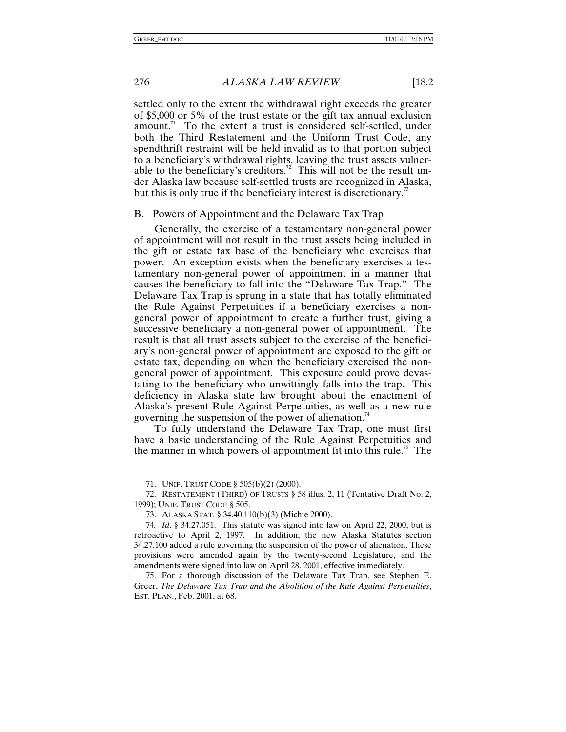settled only to the extent the withdrawal right exceeds the greater of \$5,000 or 5% of the trust estate or the gift tax annual exclusion amount.<sup>71</sup> To the extent a trust is considered self-settled, under both the Third Restatement and the Uniform Trust Code, any spendthrift restraint will be held invalid as to that portion subject to a beneficiary's withdrawal rights, leaving the trust assets vulnerable to the beneficiary's creditors.<sup>72</sup> This will not be the result under Alaska law because self-settled trusts are recognized in Alaska, but this is only true if the beneficiary interest is discretionary.<sup>33</sup>

#### B. Powers of Appointment and the Delaware Tax Trap

Generally, the exercise of a testamentary non-general power of appointment will not result in the trust assets being included in the gift or estate tax base of the beneficiary who exercises that power. An exception exists when the beneficiary exercises a testamentary non-general power of appointment in a manner that causes the beneficiary to fall into the "Delaware Tax Trap." The Delaware Tax Trap is sprung in a state that has totally eliminated the Rule Against Perpetuities if a beneficiary exercises a nongeneral power of appointment to create a further trust, giving a successive beneficiary a non-general power of appointment. The result is that all trust assets subject to the exercise of the beneficiary's non-general power of appointment are exposed to the gift or estate tax, depending on when the beneficiary exercised the nongeneral power of appointment. This exposure could prove devastating to the beneficiary who unwittingly falls into the trap. This deficiency in Alaska state law brought about the enactment of Alaska's present Rule Against Perpetuities, as well as a new rule governing the suspension of the power of alienation.<sup>74</sup>

To fully understand the Delaware Tax Trap, one must first have a basic understanding of the Rule Against Perpetuities and the manner in which powers of appointment fit into this rule. $\degree$  The

<sup>71.</sup> UNIF. TRUST CODE § 505(b)(2) (2000).

<sup>72.</sup> RESTATEMENT (THIRD) OF TRUSTS § 58 illus. 2, 11 (Tentative Draft No. 2, 1999); UNIF. TRUST CODE § 505.

<sup>73.</sup> ALASKA STAT. § 34.40.110(b)(3) (Michie 2000).

<sup>74</sup>*. Id*. § 34.27.051. This statute was signed into law on April 22, 2000, but is retroactive to April 2, 1997. In addition, the new Alaska Statutes section 34.27.100 added a rule governing the suspension of the power of alienation. These provisions were amended again by the twenty-second Legislature, and the amendments were signed into law on April 28, 2001, effective immediately.

<sup>75.</sup> For a thorough discussion of the Delaware Tax Trap, see Stephen E. Greer, *The Delaware Tax Trap and the Abolition of the Rule Against Perpetuities*, EST. PLAN., Feb. 2001, at 68.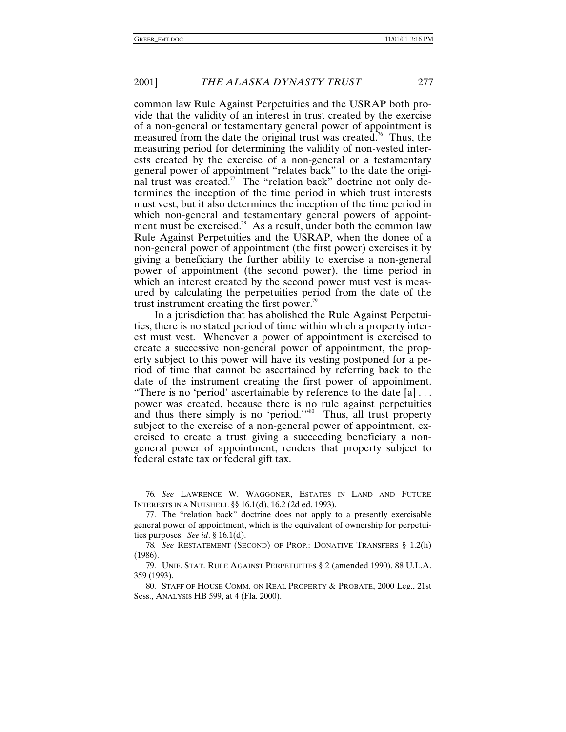common law Rule Against Perpetuities and the USRAP both provide that the validity of an interest in trust created by the exercise of a non-general or testamentary general power of appointment is measured from the date the original trust was created.<sup>76</sup> Thus, the measuring period for determining the validity of non-vested interests created by the exercise of a non-general or a testamentary general power of appointment "relates back" to the date the original trust was created.<sup>77</sup> The "relation back" doctrine not only determines the inception of the time period in which trust interests must vest, but it also determines the inception of the time period in which non-general and testamentary general powers of appointment must be exercised.<sup>78</sup> As a result, under both the common law Rule Against Perpetuities and the USRAP, when the donee of a non-general power of appointment (the first power) exercises it by giving a beneficiary the further ability to exercise a non-general power of appointment (the second power), the time period in which an interest created by the second power must vest is measured by calculating the perpetuities period from the date of the trust instrument creating the first power.<sup>99</sup>

In a jurisdiction that has abolished the Rule Against Perpetuities, there is no stated period of time within which a property interest must vest. Whenever a power of appointment is exercised to create a successive non-general power of appointment, the property subject to this power will have its vesting postponed for a period of time that cannot be ascertained by referring back to the date of the instrument creating the first power of appointment. "There is no 'period' ascertainable by reference to the date  $[a] \dots$ power was created, because there is no rule against perpetuities and thus there simply is no 'period.'"<sup>80</sup> Thus, all trust property subject to the exercise of a non-general power of appointment, exercised to create a trust giving a succeeding beneficiary a nongeneral power of appointment, renders that property subject to federal estate tax or federal gift tax.

<sup>76</sup>*. See* LAWRENCE W. WAGGONER, ESTATES IN LAND AND FUTURE INTERESTS IN A NUTSHELL §§ 16.1(d), 16.2 (2d ed. 1993).

<sup>77.</sup> The "relation back" doctrine does not apply to a presently exercisable general power of appointment, which is the equivalent of ownership for perpetuities purposes. *See id*. § 16.1(d).

<sup>78</sup>*. See* RESTATEMENT (SECOND) OF PROP.: DONATIVE TRANSFERS § 1.2(h) (1986).

<sup>79.</sup> UNIF. STAT. RULE AGAINST PERPETUITIES § 2 (amended 1990), 88 U.L.A. 359 (1993).

<sup>80.</sup> STAFF OF HOUSE COMM. ON REAL PROPERTY & PROBATE, 2000 Leg., 21st Sess., ANALYSIS HB 599, at 4 (Fla. 2000).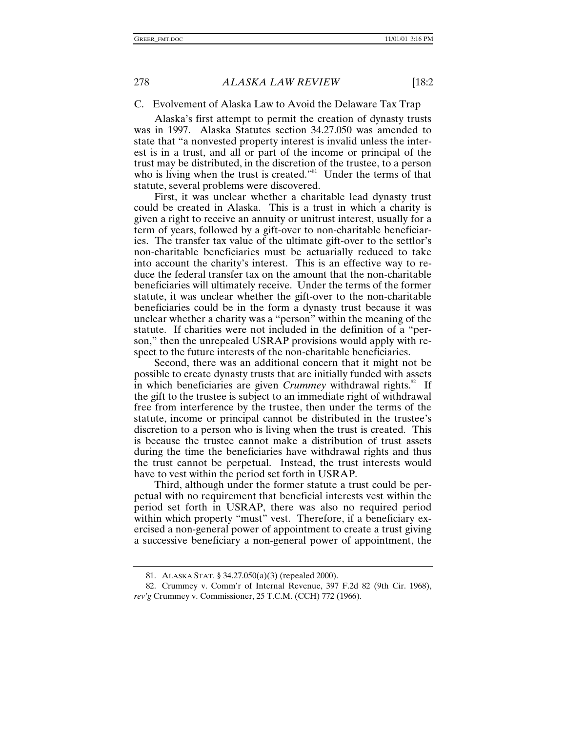## C. Evolvement of Alaska Law to Avoid the Delaware Tax Trap

Alaska's first attempt to permit the creation of dynasty trusts was in 1997. Alaska Statutes section 34.27.050 was amended to state that "a nonvested property interest is invalid unless the interest is in a trust, and all or part of the income or principal of the trust may be distributed, in the discretion of the trustee, to a person who is living when the trust is created."<sup>81</sup> Under the terms of that statute, several problems were discovered.

First, it was unclear whether a charitable lead dynasty trust could be created in Alaska. This is a trust in which a charity is given a right to receive an annuity or unitrust interest, usually for a term of years, followed by a gift-over to non-charitable beneficiaries. The transfer tax value of the ultimate gift-over to the settlor's non-charitable beneficiaries must be actuarially reduced to take into account the charity's interest. This is an effective way to reduce the federal transfer tax on the amount that the non-charitable beneficiaries will ultimately receive. Under the terms of the former statute, it was unclear whether the gift-over to the non-charitable beneficiaries could be in the form a dynasty trust because it was unclear whether a charity was a "person" within the meaning of the statute. If charities were not included in the definition of a "person," then the unrepealed USRAP provisions would apply with respect to the future interests of the non-charitable beneficiaries.

Second, there was an additional concern that it might not be possible to create dynasty trusts that are initially funded with assets in which beneficiaries are given *Crummey* withdrawal rights.<sup>82</sup> If the gift to the trustee is subject to an immediate right of withdrawal free from interference by the trustee, then under the terms of the statute, income or principal cannot be distributed in the trustee's discretion to a person who is living when the trust is created. This is because the trustee cannot make a distribution of trust assets during the time the beneficiaries have withdrawal rights and thus the trust cannot be perpetual. Instead, the trust interests would have to vest within the period set forth in USRAP.

Third, although under the former statute a trust could be perpetual with no requirement that beneficial interests vest within the period set forth in USRAP, there was also no required period within which property "must" vest. Therefore, if a beneficiary exercised a non-general power of appointment to create a trust giving a successive beneficiary a non-general power of appointment, the

<sup>81.</sup> ALASKA STAT. § 34.27.050(a)(3) (repealed 2000).

<sup>82.</sup> Crummey v. Comm'r of Internal Revenue, 397 F.2d 82 (9th Cir. 1968), *rev'g* Crummey v. Commissioner, 25 T.C.M. (CCH) 772 (1966).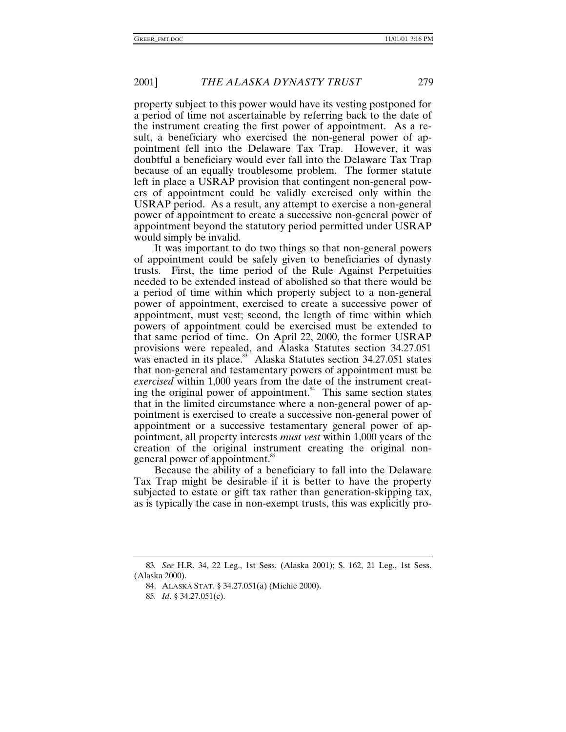property subject to this power would have its vesting postponed for a period of time not ascertainable by referring back to the date of the instrument creating the first power of appointment. As a result, a beneficiary who exercised the non-general power of appointment fell into the Delaware Tax Trap. However, it was doubtful a beneficiary would ever fall into the Delaware Tax Trap because of an equally troublesome problem. The former statute left in place a USRAP provision that contingent non-general powers of appointment could be validly exercised only within the USRAP period. As a result, any attempt to exercise a non-general power of appointment to create a successive non-general power of appointment beyond the statutory period permitted under USRAP would simply be invalid.

It was important to do two things so that non-general powers of appointment could be safely given to beneficiaries of dynasty trusts. First, the time period of the Rule Against Perpetuities needed to be extended instead of abolished so that there would be a period of time within which property subject to a non-general power of appointment, exercised to create a successive power of appointment, must vest; second, the length of time within which powers of appointment could be exercised must be extended to that same period of time. On April 22, 2000, the former USRAP provisions were repealed, and Alaska Statutes section 34.27.051 was enacted in its place. $83 \times 10^{14}$  Alaska Statutes section 34.27.051 states that non-general and testamentary powers of appointment must be *exercised* within 1,000 years from the date of the instrument creating the original power of appointment. $84$  This same section states that in the limited circumstance where a non-general power of appointment is exercised to create a successive non-general power of appointment or a successive testamentary general power of appointment, all property interests *must vest* within 1,000 years of the creation of the original instrument creating the original nongeneral power of appointment.<sup>85</sup>

Because the ability of a beneficiary to fall into the Delaware Tax Trap might be desirable if it is better to have the property subjected to estate or gift tax rather than generation-skipping tax, as is typically the case in non-exempt trusts, this was explicitly pro-

<sup>83</sup>*. See* H.R. 34, 22 Leg., 1st Sess. (Alaska 2001); S. 162, 21 Leg., 1st Sess. (Alaska 2000).

<sup>84.</sup> ALASKA STAT. § 34.27.051(a) (Michie 2000).

<sup>85</sup>*. Id*. § 34.27.051(c).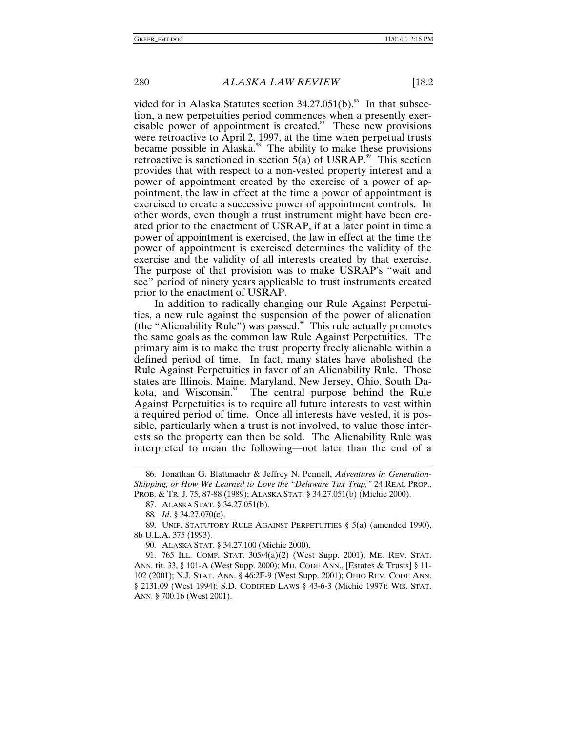vided for in Alaska Statutes section  $34.27.051(b)$ .<sup>86</sup> In that subsection, a new perpetuities period commences when a presently exercisable power of appointment is created. $87$  These new provisions were retroactive to April 2, 1997, at the time when perpetual trusts became possible in Alaska.<sup>88</sup> The ability to make these provisions retroactive is sanctioned in section  $5(a)$  of USRAP.<sup>89</sup> This section provides that with respect to a non-vested property interest and a power of appointment created by the exercise of a power of appointment, the law in effect at the time a power of appointment is exercised to create a successive power of appointment controls. In other words, even though a trust instrument might have been created prior to the enactment of USRAP, if at a later point in time a power of appointment is exercised, the law in effect at the time the power of appointment is exercised determines the validity of the exercise and the validity of all interests created by that exercise. The purpose of that provision was to make USRAP's "wait and see" period of ninety years applicable to trust instruments created prior to the enactment of USRAP.

In addition to radically changing our Rule Against Perpetuities, a new rule against the suspension of the power of alienation (the "Alienability Rule") was passed.<sup>90</sup> This rule actually promotes the same goals as the common law Rule Against Perpetuities. The primary aim is to make the trust property freely alienable within a defined period of time. In fact, many states have abolished the Rule Against Perpetuities in favor of an Alienability Rule. Those states are Illinois, Maine, Maryland, New Jersey, Ohio, South Dakota, and Wisconsin. $91$  The central purpose behind the Rule Against Perpetuities is to require all future interests to vest within a required period of time. Once all interests have vested, it is possible, particularly when a trust is not involved, to value those interests so the property can then be sold. The Alienability Rule was interpreted to mean the following—not later than the end of a

<sup>86.</sup> Jonathan G. Blattmachr & Jeffrey N. Pennell, *Adventures in Generation-Skipping, or How We Learned to Love the "Delaware Tax Trap,"* 24 REAL PROP., PROB. & TR. J. 75, 87-88 (1989); ALASKA STAT. § 34.27.051(b) (Michie 2000).

<sup>87.</sup> ALASKA STAT. § 34.27.051(b).

<sup>88</sup>*. Id*. § 34.27.070(c).

<sup>89.</sup> UNIF. STATUTORY RULE AGAINST PERPETUITIES § 5(a) (amended 1990), 8b U.L.A. 375 (1993).

<sup>90.</sup> ALASKA STAT. § 34.27.100 (Michie 2000).

<sup>91. 765</sup> ILL. COMP. STAT. 305/4(a)(2) (West Supp. 2001); ME. REV. STAT. ANN. tit. 33, § 101-A (West Supp. 2000); MD. CODE ANN., [Estates & Trusts] § 11- 102 (2001); N.J. STAT. ANN. § 46:2F-9 (West Supp. 2001); OHIO REV. CODE ANN. § 2131.09 (West 1994); S.D. CODIFIED LAWS § 43-6-3 (Michie 1997); WIS. STAT. ANN. § 700.16 (West 2001).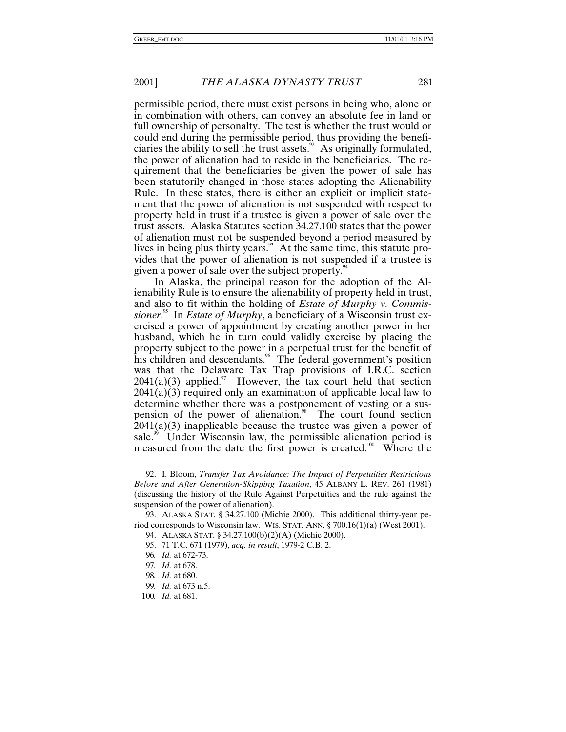permissible period, there must exist persons in being who, alone or in combination with others, can convey an absolute fee in land or full ownership of personalty. The test is whether the trust would or could end during the permissible period, thus providing the beneficiaries the ability to sell the trust assets.<sup>92</sup> As originally formulated, the power of alienation had to reside in the beneficiaries. The requirement that the beneficiaries be given the power of sale has been statutorily changed in those states adopting the Alienability Rule. In these states, there is either an explicit or implicit statement that the power of alienation is not suspended with respect to property held in trust if a trustee is given a power of sale over the trust assets. Alaska Statutes section 34.27.100 states that the power of alienation must not be suspended beyond a period measured by lives in being plus thirty years. $93$  At the same time, this statute provides that the power of alienation is not suspended if a trustee is given a power of sale over the subject property.<sup>94</sup>

In Alaska, the principal reason for the adoption of the Alienability Rule is to ensure the alienability of property held in trust, and also to fit within the holding of *Estate of Murphy v. Commissioner*. 95 In *Estate of Murphy*, a beneficiary of a Wisconsin trust exercised a power of appointment by creating another power in her husband, which he in turn could validly exercise by placing the property subject to the power in a perpetual trust for the benefit of his children and descendants.<sup>96</sup> The federal government's position was that the Delaware Tax Trap provisions of I.R.C. section  $2041(a)(3)$  applied.<sup>97</sup> However, the tax court held that section 2041(a)(3) required only an examination of applicable local law to determine whether there was a postponement of vesting or a suspension of the power of alienation.<sup>98</sup> The court found section 2041(a)(3) inapplicable because the trustee was given a power of sale.<sup>99</sup> Under Wisconsin law, the permissible alienation period is measured from the date the first power is created.<sup>100</sup> Where the

<sup>92.</sup> I. Bloom, *Transfer Tax Avoidance: The Impact of Perpetuities Restrictions Before and After Generation-Skipping Taxation*, 45 ALBANY L. REV. 261 (1981) (discussing the history of the Rule Against Perpetuities and the rule against the suspension of the power of alienation).

<sup>93.</sup> ALASKA STAT. § 34.27.100 (Michie 2000). This additional thirty-year period corresponds to Wisconsin law. WIS. STAT. ANN. § 700.16(1)(a) (West 2001).

<sup>94.</sup> ALASKA STAT. § 34.27.100(b)(2)(A) (Michie 2000).

<sup>95. 71</sup> T.C. 671 (1979), *acq. in result*, 1979-2 C.B. 2.

<sup>96</sup>*. Id.* at 672-73.

<sup>97</sup>*. Id.* at 678.

<sup>98</sup>*. Id.* at 680.

<sup>99</sup>*. Id.* at 673 n.5.

<sup>100</sup>*. Id.* at 681.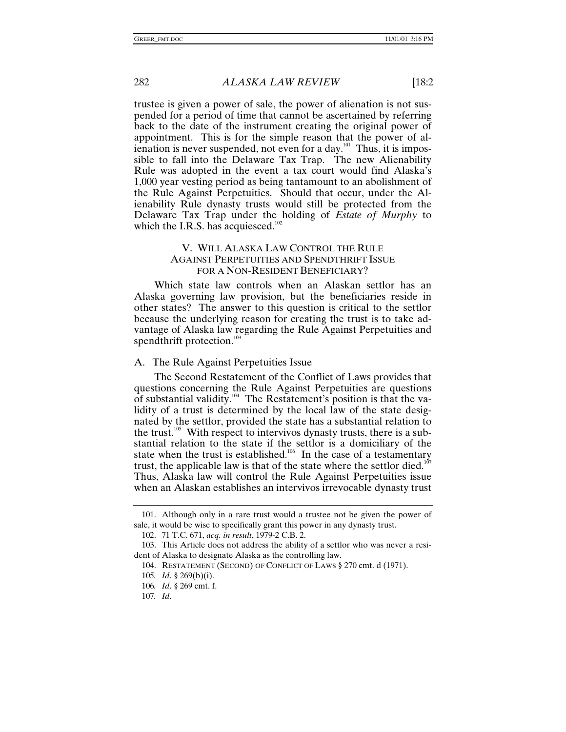trustee is given a power of sale, the power of alienation is not suspended for a period of time that cannot be ascertained by referring back to the date of the instrument creating the original power of appointment. This is for the simple reason that the power of alienation is never suspended, not even for a day. $101$  Thus, it is impossible to fall into the Delaware Tax Trap. The new Alienability Rule was adopted in the event a tax court would find Alaska's 1,000 year vesting period as being tantamount to an abolishment of the Rule Against Perpetuities. Should that occur, under the Alienability Rule dynasty trusts would still be protected from the Delaware Tax Trap under the holding of *Estate of Murphy* to which the I.R.S. has acquiesced. $102$ 

# V. WILL ALASKA LAW CONTROL THE RULE AGAINST PERPETUITIES AND SPENDTHRIFT ISSUE FOR A NON-RESIDENT BENEFICIARY?

Which state law controls when an Alaskan settlor has an Alaska governing law provision, but the beneficiaries reside in other states? The answer to this question is critical to the settlor because the underlying reason for creating the trust is to take advantage of Alaska law regarding the Rule Against Perpetuities and spendthrift protection.<sup>103</sup>

#### A. The Rule Against Perpetuities Issue

The Second Restatement of the Conflict of Laws provides that questions concerning the Rule Against Perpetuities are questions of substantial validity.104 The Restatement's position is that the validity of a trust is determined by the local law of the state designated by the settlor, provided the state has a substantial relation to the trust. $105$  With respect to intervivos dynasty trusts, there is a substantial relation to the state if the settlor is a domiciliary of the state when the trust is established.<sup>106</sup> In the case of a testamentary trust, the applicable law is that of the state where the settlor died.<sup>10</sup> Thus, Alaska law will control the Rule Against Perpetuities issue when an Alaskan establishes an intervivos irrevocable dynasty trust

<sup>101.</sup> Although only in a rare trust would a trustee not be given the power of sale, it would be wise to specifically grant this power in any dynasty trust.

<sup>102. 71</sup> T.C. 671, *acq. in result*, 1979-2 C.B. 2.

<sup>103.</sup> This Article does not address the ability of a settlor who was never a resident of Alaska to designate Alaska as the controlling law.

<sup>104.</sup> RESTATEMENT (SECOND) OF CONFLICT OF LAWS § 270 cmt. d (1971).

<sup>105</sup>*. Id*. § 269(b)(i).

<sup>106</sup>*. Id*. § 269 cmt. f.

<sup>107</sup>*. Id*.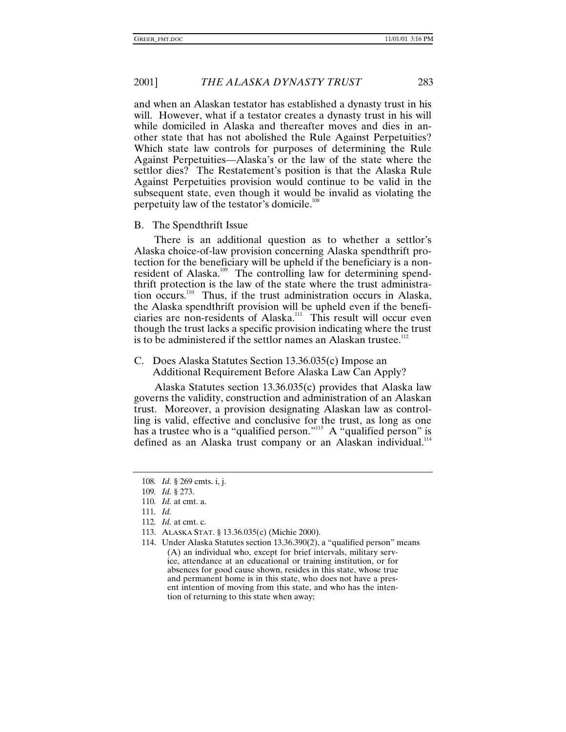and when an Alaskan testator has established a dynasty trust in his will. However, what if a testator creates a dynasty trust in his will while domiciled in Alaska and thereafter moves and dies in another state that has not abolished the Rule Against Perpetuities? Which state law controls for purposes of determining the Rule Against Perpetuities—Alaska's or the law of the state where the settlor dies? The Restatement's position is that the Alaska Rule Against Perpetuities provision would continue to be valid in the subsequent state, even though it would be invalid as violating the perpetuity law of the testator's domicile.<sup>108</sup>

# B. The Spendthrift Issue

There is an additional question as to whether a settlor's Alaska choice-of-law provision concerning Alaska spendthrift protection for the beneficiary will be upheld if the beneficiary is a nonresident of Alaska.<sup>109</sup> The controlling law for determining spendthrift protection is the law of the state where the trust administration occurs.110 Thus, if the trust administration occurs in Alaska, the Alaska spendthrift provision will be upheld even if the beneficiaries are non-residents of Alaska.<sup>111</sup> This result will occur even though the trust lacks a specific provision indicating where the trust is to be administered if the settlor names an Alaskan trustee.<sup>112</sup>

# C. Does Alaska Statutes Section 13.36.035(c) Impose an Additional Requirement Before Alaska Law Can Apply?

Alaska Statutes section 13.36.035(c) provides that Alaska law governs the validity, construction and administration of an Alaskan trust. Moreover, a provision designating Alaskan law as controlling is valid, effective and conclusive for the trust, as long as one has a trustee who is a "qualified person."<sup>113</sup> A "qualified person" is defined as an Alaska trust company or an Alaskan individual.<sup>114</sup>

<sup>108</sup>*. Id.* § 269 cmts. i, j.

<sup>109</sup>*. Id.* § 273.

<sup>110</sup>*. Id.* at cmt. a.

<sup>111</sup>*. Id.*

<sup>112</sup>*. Id.* at cmt. c.

<sup>113.</sup> ALASKA STAT. § 13.36.035(c) (Michie 2000).

<sup>114.</sup> Under Alaska Statutes section 13.36.390(2), a "qualified person" means (A) an individual who, except for brief intervals, military service, attendance at an educational or training institution, or for absences for good cause shown, resides in this state, whose true and permanent home is in this state, who does not have a present intention of moving from this state, and who has the intention of returning to this state when away;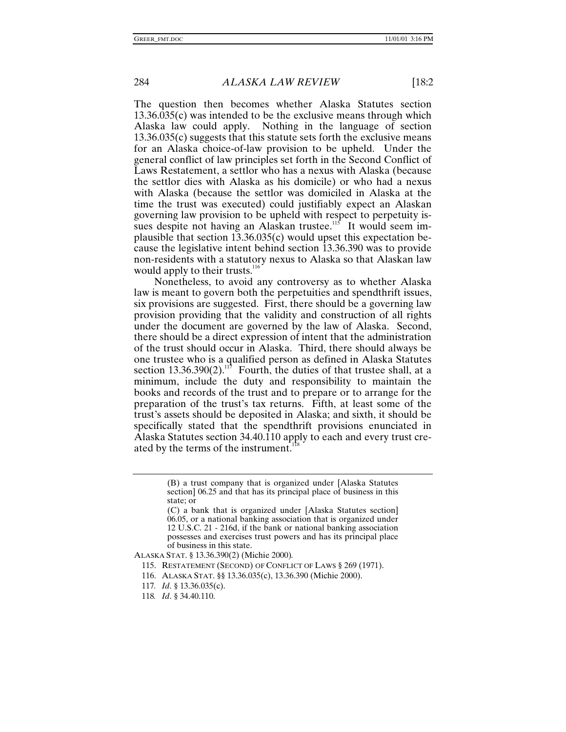The question then becomes whether Alaska Statutes section 13.36.035(c) was intended to be the exclusive means through which Alaska law could apply. Nothing in the language of section 13.36.035(c) suggests that this statute sets forth the exclusive means for an Alaska choice-of-law provision to be upheld. Under the general conflict of law principles set forth in the Second Conflict of Laws Restatement, a settlor who has a nexus with Alaska (because the settlor dies with Alaska as his domicile) or who had a nexus with Alaska (because the settlor was domiciled in Alaska at the time the trust was executed) could justifiably expect an Alaskan governing law provision to be upheld with respect to perpetuity issues despite not having an Alaskan trustee.<sup>115</sup> It would seem implausible that section 13.36.035(c) would upset this expectation because the legislative intent behind section 13.36.390 was to provide non-residents with a statutory nexus to Alaska so that Alaskan law would apply to their trusts.<sup>116</sup>

Nonetheless, to avoid any controversy as to whether Alaska law is meant to govern both the perpetuities and spendthrift issues, six provisions are suggested. First, there should be a governing law provision providing that the validity and construction of all rights under the document are governed by the law of Alaska. Second, there should be a direct expression of intent that the administration of the trust should occur in Alaska. Third, there should always be one trustee who is a qualified person as defined in Alaska Statutes section 13.36.390(2).<sup>117</sup> Fourth, the duties of that trustee shall, at a minimum, include the duty and responsibility to maintain the books and records of the trust and to prepare or to arrange for the preparation of the trust's tax returns. Fifth, at least some of the trust's assets should be deposited in Alaska; and sixth, it should be specifically stated that the spendthrift provisions enunciated in Alaska Statutes section 34.40.110 apply to each and every trust created by the terms of the instrument.<sup>1</sup>

ALASKA STAT. § 13.36.390(2) (Michie 2000)*.*

<sup>(</sup>B) a trust company that is organized under [Alaska Statutes section] 06.25 and that has its principal place of business in this state; or

<sup>(</sup>C) a bank that is organized under [Alaska Statutes section] 06.05, or a national banking association that is organized under 12 U.S.C. 21 - 216d, if the bank or national banking association possesses and exercises trust powers and has its principal place of business in this state.

<sup>115.</sup> RESTATEMENT (SECOND) OF CONFLICT OF LAWS § 269 (1971).

<sup>116.</sup> ALASKA STAT. §§ 13.36.035(c), 13.36.390 (Michie 2000).

<sup>117</sup>*. Id*. § 13.36.035(c).

<sup>118</sup>*. Id*. § 34.40.110.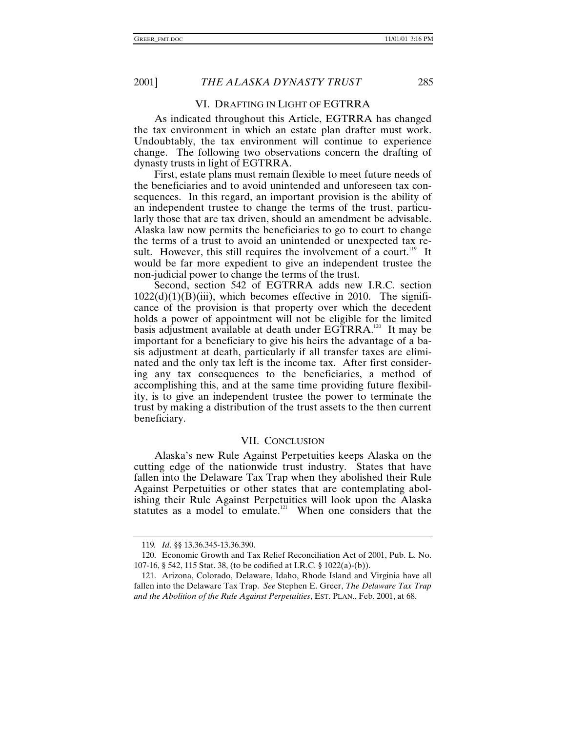#### VI. DRAFTING IN LIGHT OF EGTRRA

As indicated throughout this Article, EGTRRA has changed the tax environment in which an estate plan drafter must work. Undoubtably, the tax environment will continue to experience change. The following two observations concern the drafting of dynasty trusts in light of EGTRRA.

First, estate plans must remain flexible to meet future needs of the beneficiaries and to avoid unintended and unforeseen tax consequences. In this regard, an important provision is the ability of an independent trustee to change the terms of the trust, particularly those that are tax driven, should an amendment be advisable. Alaska law now permits the beneficiaries to go to court to change the terms of a trust to avoid an unintended or unexpected tax result. However, this still requires the involvement of a court.<sup>119</sup> It would be far more expedient to give an independent trustee the non-judicial power to change the terms of the trust.

Second, section 542 of EGTRRA adds new I.R.C. section  $1022(d)(1)(B)(iii)$ , which becomes effective in 2010. The significance of the provision is that property over which the decedent holds a power of appointment will not be eligible for the limited basis adjustment available at death under EGTRRA.<sup>120</sup> It may be important for a beneficiary to give his heirs the advantage of a basis adjustment at death, particularly if all transfer taxes are eliminated and the only tax left is the income tax. After first considering any tax consequences to the beneficiaries, a method of accomplishing this, and at the same time providing future flexibility, is to give an independent trustee the power to terminate the trust by making a distribution of the trust assets to the then current beneficiary.

#### VII. CONCLUSION

Alaska's new Rule Against Perpetuities keeps Alaska on the cutting edge of the nationwide trust industry. States that have fallen into the Delaware Tax Trap when they abolished their Rule Against Perpetuities or other states that are contemplating abolishing their Rule Against Perpetuities will look upon the Alaska statutes as a model to emulate.<sup>121</sup> When one considers that the

<sup>119</sup>*. Id*. §§ 13.36.345-13.36.390.

<sup>120.</sup> Economic Growth and Tax Relief Reconciliation Act of 2001, Pub. L. No. 107-16, § 542, 115 Stat. 38, (to be codified at I.R.C. § 1022(a)-(b)).

<sup>121.</sup> Arizona, Colorado, Delaware, Idaho, Rhode Island and Virginia have all fallen into the Delaware Tax Trap. *See* Stephen E. Greer, *The Delaware Tax Trap and the Abolition of the Rule Against Perpetuities*, EST. PLAN., Feb. 2001, at 68.